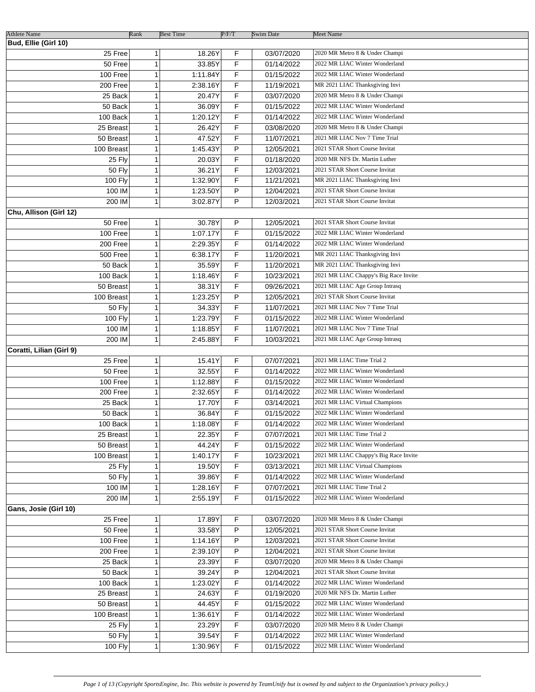| <b>Athlete Name</b>      | Rank | <b>Best Time</b>         | P/F/T | <b>Swim Date</b> | <b>Meet Name</b>                      |
|--------------------------|------|--------------------------|-------|------------------|---------------------------------------|
| Bud, Ellie (Girl 10)     |      |                          |       |                  |                                       |
| 25 Free                  |      | 18.26Y<br>1              | F     | 03/07/2020       | 2020 MR Metro 8 & Under Champi        |
| 50 Free                  |      | 33.85Y<br>1              | F     | 01/14/2022       | 2022 MR LIAC Winter Wonderland        |
| 100 Free                 |      | 1<br>1:11.84Y            | F     | 01/15/2022       | 2022 MR LIAC Winter Wonderland        |
| 200 Free                 |      | 1<br>2:38.16Y            | F     | 11/19/2021       | MR 2021 LIAC Thanksgiving Invi        |
| 25 Back                  |      | 1<br>20.47Y              | F     | 03/07/2020       | 2020 MR Metro 8 & Under Champi        |
|                          |      |                          |       |                  | 2022 MR LIAC Winter Wonderland        |
| 50 Back                  |      | 1<br>36.09Y              | F     | 01/15/2022       |                                       |
| 100 Back                 |      | 1<br>1:20.12Y            | F     | 01/14/2022       | 2022 MR LIAC Winter Wonderland        |
| 25 Breast                |      | 1<br>26.42Y              | F     | 03/08/2020       | 2020 MR Metro 8 & Under Champi        |
| 50 Breast                |      | 47.52Y<br>1              | F     | 11/07/2021       | 2021 MR LIAC Nov 7 Time Trial         |
| 100 Breast               |      | 1:45.43Y<br>1            | P     | 12/05/2021       | 2021 STAR Short Course Invitat        |
| 25 Fly                   |      | 20.03Y<br>1              | F     | 01/18/2020       | 2020 MR NFS Dr. Martin Luther         |
| 50 Fly                   |      | 1<br>36.21Y              | F     | 12/03/2021       | 2021 STAR Short Course Invitat        |
| 100 Fly                  |      | 1<br>1:32.90Y            | F     | 11/21/2021       | MR 2021 LIAC Thanksgiving Invi        |
| 100 IM                   |      | 1:23.50Y<br>1            | P     | 12/04/2021       | 2021 STAR Short Course Invitat        |
| 200 IM                   |      | 1<br>3:02.87Y            | P     | 12/03/2021       | 2021 STAR Short Course Invitat        |
| Chu, Allison (Girl 12)   |      |                          |       |                  |                                       |
| 50 Free                  |      | 1<br>30.78Y              | P     | 12/05/2021       | 2021 STAR Short Course Invitat        |
| 100 Free                 |      | 1:07.17Y<br>1            | F     | 01/15/2022       | 2022 MR LIAC Winter Wonderland        |
| 200 Free                 |      | 1<br>2:29.35Y            | F     | 01/14/2022       | 2022 MR LIAC Winter Wonderland        |
| 500 Free                 |      | $\mathbf{1}$<br>6:38.17Y | F     | 11/20/2021       | MR 2021 LIAC Thanksgiving Invi        |
| 50 Back                  |      | 1<br>35.59Y              | F     | 11/20/2021       | MR 2021 LIAC Thanksgiving Invi        |
| 100 Back                 |      | 1:18.46Y<br>1            | F     | 10/23/2021       | 2021 MR LIAC Chappy's Big Race Invite |
| 50 Breast                |      | 38.31Y<br>1              | F     | 09/26/2021       | 2021 MR LIAC Age Group Intrasq        |
| 100 Breast               |      | 1:23.25Y<br>1            | P     | 12/05/2021       | 2021 STAR Short Course Invitat        |
| <b>50 Fly</b>            |      | 34.33Y<br>1              | F     | 11/07/2021       | 2021 MR LIAC Nov 7 Time Trial         |
| 100 Fly                  |      | 1:23.79Y<br>1            | F     | 01/15/2022       | 2022 MR LIAC Winter Wonderland        |
| 100 IM                   |      | 1:18.85Y<br>1            | F     | 11/07/2021       | 2021 MR LIAC Nov 7 Time Trial         |
| 200 IM                   |      | 1<br>2:45.88Y            | F     | 10/03/2021       | 2021 MR LIAC Age Group Intrasq        |
|                          |      |                          |       |                  |                                       |
| Coratti, Lilian (Girl 9) |      |                          |       |                  | 2021 MR LIAC Time Trial 2             |
| 25 Free                  |      | 15.41Y<br>1              | F     | 07/07/2021       |                                       |
| 50 Free                  |      | 1<br>32.55Y              | F     | 01/14/2022       | 2022 MR LIAC Winter Wonderland        |
| 100 Free                 |      | 1<br>1:12.88Y            | F     | 01/15/2022       | 2022 MR LIAC Winter Wonderland        |
| 200 Free                 |      | 1<br>2:32.65Y            | F     | 01/14/2022       | 2022 MR LIAC Winter Wonderland        |
| 25 Back                  |      | 17.70Y<br>1              | F     | 03/14/2021       | 2021 MR LIAC Virtual Champions        |
| 50 Back                  |      | 36.84Y<br>1              | F     | 01/15/2022       | 2022 MR LIAC Winter Wonderland        |
| 100 Back                 |      | 1<br>1:18.08Y            | F     | 01/14/2022       | 2022 MR LIAC Winter Wonderland        |
| 25 Breast                |      | 1<br>22.35Y              | F     | 07/07/2021       | 2021 MR LIAC Time Trial 2             |
| 50 Breast                |      | 1<br>44.24Y              | F     | 01/15/2022       | 2022 MR LIAC Winter Wonderland        |
| 100 Breast               |      | 1<br>1:40.17Y            | F     | 10/23/2021       | 2021 MR LIAC Chappy's Big Race Invite |
| 25 Fly                   |      | 1<br>19.50Y              | F     | 03/13/2021       | 2021 MR LIAC Virtual Champions        |
| <b>50 Fly</b>            |      | 1<br>39.86Y              | F     | 01/14/2022       | 2022 MR LIAC Winter Wonderland        |
| 100 IM                   |      | 1<br>1:28.16Y            | F     | 07/07/2021       | 2021 MR LIAC Time Trial 2             |
| 200 IM                   |      | 1<br>2:55.19Y            | F     | 01/15/2022       | 2022 MR LIAC Winter Wonderland        |
| Gans, Josie (Girl 10)    |      |                          |       |                  |                                       |
| 25 Free                  |      | 1<br>17.89Y              | F     | 03/07/2020       | 2020 MR Metro 8 & Under Champi        |
| 50 Free                  |      | 1<br>33.58Y              | P     | 12/05/2021       | 2021 STAR Short Course Invitat        |
| 100 Free                 |      | 1<br>1:14.16Y            | P     | 12/03/2021       | 2021 STAR Short Course Invitat        |
| 200 Free                 |      | 1<br>2:39.10Y            | P     | 12/04/2021       | 2021 STAR Short Course Invitat        |
| 25 Back                  |      | 1<br>23.39Y              | F     | 03/07/2020       | 2020 MR Metro 8 & Under Champi        |
| 50 Back                  |      | 1<br>39.24Y              | P     | 12/04/2021       | 2021 STAR Short Course Invitat        |
| 100 Back                 |      | 1:23.02Y<br>1            | F     | 01/14/2022       | 2022 MR LIAC Winter Wonderland        |
| 25 Breast                |      | 1<br>24.63Y              | F     | 01/19/2020       | 2020 MR NFS Dr. Martin Luther         |
| 50 Breast                |      | 1<br>44.45Y              | F     | 01/15/2022       | 2022 MR LIAC Winter Wonderland        |
|                          |      |                          |       |                  | 2022 MR LIAC Winter Wonderland        |
| 100 Breast               |      | 1<br>1:36.61Y            | F     | 01/14/2022       |                                       |
| 25 Fly                   |      | 1<br>23.29Y              | F     | 03/07/2020       | 2020 MR Metro 8 & Under Champi        |
| <b>50 Fly</b>            |      | 1<br>39.54Y              | F     | 01/14/2022       | 2022 MR LIAC Winter Wonderland        |
| 100 Fly                  |      | 1<br>1:30.96Y            | F     | 01/15/2022       | 2022 MR LIAC Winter Wonderland        |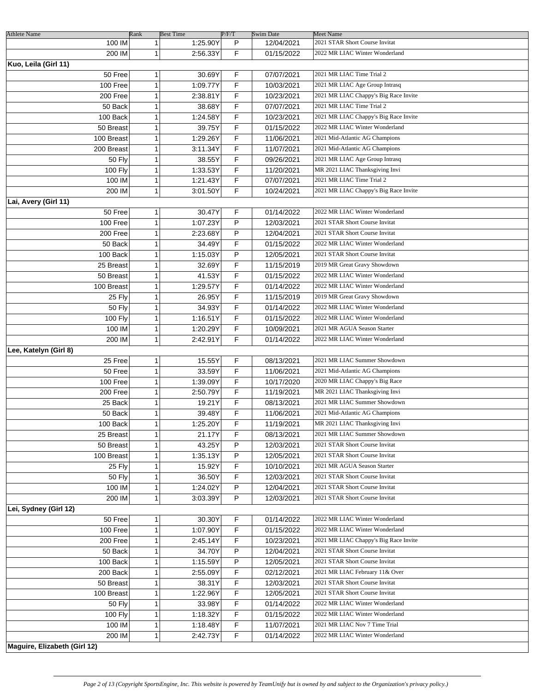| <b>Athlete Name</b>          | Rank          |              | <b>Best Time</b> | P/F/T | <b>Swim Date</b> | Meet Name                             |
|------------------------------|---------------|--------------|------------------|-------|------------------|---------------------------------------|
|                              | 100 IM        | 1            | 1:25.90Y         | P     | 12/04/2021       | 2021 STAR Short Course Invitat        |
|                              | 200 IM        | 1            | 2:56.33Y         | F     | 01/15/2022       | 2022 MR LIAC Winter Wonderland        |
| Kuo, Leila (Girl 11)         |               |              |                  |       |                  |                                       |
|                              | 50 Free       | 1            | 30.69Y           | F     | 07/07/2021       | 2021 MR LIAC Time Trial 2             |
|                              | 100 Free      | $\mathbf{1}$ | 1:09.77Y         | F     | 10/03/2021       | 2021 MR LIAC Age Group Intrasq        |
|                              | 200 Free      | 1            | 2:38.81Y         | F     | 10/23/2021       | 2021 MR LIAC Chappy's Big Race Invite |
|                              | 50 Back       | 1            | 38.68Y           | F     | 07/07/2021       | 2021 MR LIAC Time Trial 2             |
|                              | 100 Back      | 1            | 1:24.58Y         | F     | 10/23/2021       | 2021 MR LIAC Chappy's Big Race Invite |
|                              | 50 Breast     | 1            | 39.75Y           | F     | 01/15/2022       | 2022 MR LIAC Winter Wonderland        |
|                              | 100 Breast    | 1            | 1:29.26Y         | F     | 11/06/2021       | 2021 Mid-Atlantic AG Champions        |
|                              | 200 Breast    | 1            | 3:11.34Y         | F     | 11/07/2021       | 2021 Mid-Atlantic AG Champions        |
|                              |               | 1            |                  | F     |                  | 2021 MR LIAC Age Group Intrasq        |
|                              | <b>50 Fly</b> |              | 38.55Y           |       | 09/26/2021       |                                       |
|                              | 100 Fly       | 1            | 1:33.53Y         | F     | 11/20/2021       | MR 2021 LIAC Thanksgiving Invi        |
|                              | 100 IM        | 1            | 1:21.43Y         | F     | 07/07/2021       | 2021 MR LIAC Time Trial 2             |
|                              | 200 IM        | $\mathbf{1}$ | 3:01.50Y         | F     | 10/24/2021       | 2021 MR LIAC Chappy's Big Race Invite |
| Lai, Avery (Girl 11)         |               |              |                  |       |                  |                                       |
|                              | 50 Free       | 1            | 30.47Y           | F     | 01/14/2022       | 2022 MR LIAC Winter Wonderland        |
|                              | 100 Free      | $\mathbf{1}$ | 1:07.23Y         | P     | 12/03/2021       | 2021 STAR Short Course Invitat        |
|                              | 200 Free      | 1            | 2:23.68Y         | P     | 12/04/2021       | 2021 STAR Short Course Invitat        |
|                              | 50 Back       | 1            | 34.49Y           | F     | 01/15/2022       | 2022 MR LIAC Winter Wonderland        |
|                              | 100 Back      | 1            | 1:15.03Y         | P     | 12/05/2021       | 2021 STAR Short Course Invitat        |
|                              | 25 Breast     | 1            | 32.69Y           | F     | 11/15/2019       | 2019 MR Great Gravy Showdown          |
|                              | 50 Breast     | 1            | 41.53Y           | F     | 01/15/2022       | 2022 MR LIAC Winter Wonderland        |
|                              | 100 Breast    | 1            | 1:29.57Y         | F     | 01/14/2022       | 2022 MR LIAC Winter Wonderland        |
|                              | 25 Fly        | 1            | 26.95Y           | F     | 11/15/2019       | 2019 MR Great Gravy Showdown          |
|                              | <b>50 Fly</b> | 1            | 34.93Y           | F     | 01/14/2022       | 2022 MR LIAC Winter Wonderland        |
|                              | 100 Fly       | 1            | 1:16.51Y         | F     | 01/15/2022       | 2022 MR LIAC Winter Wonderland        |
|                              | 100 IM        | 1            | 1:20.29Y         | F     | 10/09/2021       | 2021 MR AGUA Season Starter           |
|                              | 200 IM        | 1            | 2:42.91Y         | F     | 01/14/2022       | 2022 MR LIAC Winter Wonderland        |
| Lee, Katelyn (Girl 8)        |               |              |                  |       |                  |                                       |
|                              | 25 Free       | 1            | 15.55Y           | F     | 08/13/2021       | 2021 MR LIAC Summer Showdown          |
|                              | 50 Free       | 1            | 33.59Y           | F     | 11/06/2021       | 2021 Mid-Atlantic AG Champions        |
|                              | 100 Free      | 1            | 1:39.09Y         | F     | 10/17/2020       | 2020 MR LIAC Chappy's Big Race        |
|                              | 200 Free      | 1            | 2:50.79Y         | F     | 11/19/2021       | MR 2021 LIAC Thanksgiving Invi        |
|                              |               | 1            |                  | F     |                  | 2021 MR LIAC Summer Showdown          |
|                              | 25 Back       | 1            | 19.21Y           | F     | 08/13/2021       | 2021 Mid-Atlantic AG Champions        |
|                              | 50 Back       |              | 39.48Y           |       | 11/06/2021       |                                       |
|                              | 100 Back      | 1            | 1:25.20Y         | F     | 11/19/2021       | MR 2021 LIAC Thanksgiving Invi        |
|                              | 25 Breast     | 1            | 21.17Y           | F     | 08/13/2021       | 2021 MR LIAC Summer Showdown          |
|                              | 50 Breast     | 1            | 43.25Y           | P     | 12/03/2021       | 2021 STAR Short Course Invitat        |
|                              | 100 Breast    | 1            | 1:35.13Y         | P     | 12/05/2021       | 2021 STAR Short Course Invitat        |
|                              | 25 Fly        | 1            | 15.92Y           | F     | 10/10/2021       | 2021 MR AGUA Season Starter           |
|                              | <b>50 Fly</b> | 1            | 36.50Y           | F     | 12/03/2021       | 2021 STAR Short Course Invitat        |
|                              | 100 IM        | 1            | 1:24.02Y         | P     | 12/04/2021       | 2021 STAR Short Course Invitat        |
|                              | 200 IM        | 1            | 3:03.39Y         | P     | 12/03/2021       | 2021 STAR Short Course Invitat        |
| Lei, Sydney (Girl 12)        |               |              |                  |       |                  |                                       |
|                              | 50 Free       | 1            | 30.30Y           | F     | 01/14/2022       | 2022 MR LIAC Winter Wonderland        |
|                              | 100 Free      | 1            | 1:07.90Y         | F     | 01/15/2022       | 2022 MR LIAC Winter Wonderland        |
|                              | 200 Free      | 1            | 2:45.14Y         | F     | 10/23/2021       | 2021 MR LIAC Chappy's Big Race Invite |
|                              | 50 Back       | 1            | 34.70Y           | P     | 12/04/2021       | 2021 STAR Short Course Invitat        |
|                              | 100 Back      | 1            | 1:15.59Y         | P     | 12/05/2021       | 2021 STAR Short Course Invitat        |
|                              | 200 Back      | 1            | 2:55.09Y         | F     | 02/12/2021       | 2021 MR LIAC February 11& Over        |
|                              | 50 Breast     | 1            | 38.31Y           | F     | 12/03/2021       | 2021 STAR Short Course Invitat        |
|                              | 100 Breast    | 1            | 1:22.96Y         | F     | 12/05/2021       | 2021 STAR Short Course Invitat        |
|                              | <b>50 Fly</b> | 1            | 33.98Y           | F     | 01/14/2022       | 2022 MR LIAC Winter Wonderland        |
|                              | 100 Fly       | 1            | 1:18.32Y         | F     | 01/15/2022       | 2022 MR LIAC Winter Wonderland        |
|                              | 100 IM        | 1            | 1:18.48Y         | F     | 11/07/2021       | 2021 MR LIAC Nov 7 Time Trial         |
|                              | 200 IM        | 1            | 2:42.73Y         | F     | 01/14/2022       | 2022 MR LIAC Winter Wonderland        |
|                              |               |              |                  |       |                  |                                       |
| Maguire, Elizabeth (Girl 12) |               |              |                  |       |                  |                                       |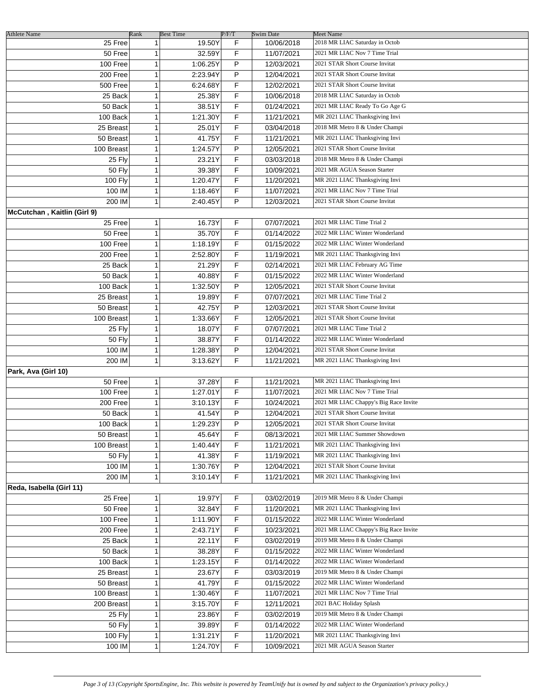| <b>Athlete Name</b><br>25 Free | Rank<br>$\mathbf{1}$ | <b>Best Time</b><br>19.50Y | P/F/T<br>F | Swim Date<br>10/06/2018 | Meet Name<br>2018 MR LIAC Saturday in Octob |
|--------------------------------|----------------------|----------------------------|------------|-------------------------|---------------------------------------------|
|                                |                      |                            |            |                         |                                             |
| 50 Free                        | 1                    | 32.59Y                     | F          | 11/07/2021              | 2021 MR LIAC Nov 7 Time Trial               |
| 100 Free                       | 1                    | 1:06.25Y                   | P          | 12/03/2021              | 2021 STAR Short Course Invitat              |
| 200 Free                       | 1                    | 2:23.94Y                   | P          | 12/04/2021              | 2021 STAR Short Course Invitat              |
| 500 Free                       | 1                    | 6:24.68Y                   | F          | 12/02/2021              | 2021 STAR Short Course Invitat              |
| 25 Back                        | 1                    | 25.38Y                     | F          | 10/06/2018              | 2018 MR LIAC Saturday in Octob              |
| 50 Back                        | 1                    | 38.51Y                     | F          | 01/24/2021              | 2021 MR LIAC Ready To Go Age G              |
| 100 Back                       | 1                    | 1:21.30Y                   | F          | 11/21/2021              | MR 2021 LIAC Thanksgiving Invi              |
| 25 Breast                      | 1                    | 25.01Y                     | F          | 03/04/2018              | 2018 MR Metro 8 & Under Champi              |
| 50 Breast                      | $\mathbf{1}$         | 41.75Y                     | F          | 11/21/2021              | MR 2021 LIAC Thanksgiving Invi              |
| 100 Breast                     | $\mathbf{1}$         | 1:24.57Y                   | P          | 12/05/2021              | 2021 STAR Short Course Invitat              |
| 25 Fly                         | $\mathbf{1}$         | 23.21Y                     | F          | 03/03/2018              | 2018 MR Metro 8 & Under Champi              |
| 50 Fly                         | $\mathbf{1}$         | 39.38Y                     | F          | 10/09/2021              | 2021 MR AGUA Season Starter                 |
| <b>100 Fly</b>                 | $\mathbf{1}$         | 1:20.47Y                   | F          | 11/20/2021              | MR 2021 LIAC Thanksgiving Invi              |
| 100 IM                         | 1                    | 1:18.46Y                   | F          | 11/07/2021              | 2021 MR LIAC Nov 7 Time Trial               |
| 200 IM                         | $\mathbf{1}$         | 2:40.45Y                   | P          | 12/03/2021              | 2021 STAR Short Course Invitat              |
| McCutchan, Kaitlin (Girl 9)    |                      |                            |            |                         |                                             |
|                                |                      |                            |            |                         | 2021 MR LIAC Time Trial 2                   |
| 25 Free                        | 1                    | 16.73Y                     | F          | 07/07/2021              |                                             |
| 50 Free                        | $\mathbf{1}$         | 35.70Y                     | F          | 01/14/2022              | 2022 MR LIAC Winter Wonderland              |
| 100 Free                       | 1                    | 1:18.19Y                   | F          | 01/15/2022              | 2022 MR LIAC Winter Wonderland              |
| 200 Free                       | 1                    | 2:52.80Y                   | F          | 11/19/2021              | MR 2021 LIAC Thanksgiving Invi              |
| 25 Back                        | $\mathbf{1}$         | 21.29Y                     | F          | 02/14/2021              | 2021 MR LIAC February AG Time               |
| 50 Back                        | 1                    | 40.88Y                     | F          | 01/15/2022              | 2022 MR LIAC Winter Wonderland              |
| 100 Back                       | 1                    | 1:32.50Y                   | P          | 12/05/2021              | 2021 STAR Short Course Invitat              |
| 25 Breast                      | $\mathbf{1}$         | 19.89Y                     | F          | 07/07/2021              | 2021 MR LIAC Time Trial 2                   |
| 50 Breast                      | 1                    | 42.75Y                     | P          | 12/03/2021              | 2021 STAR Short Course Invitat              |
| 100 Breast                     | 1                    | 1:33.66Y                   | F          | 12/05/2021              | 2021 STAR Short Course Invitat              |
| 25 Fly                         | 1                    | 18.07Y                     | F          | 07/07/2021              | 2021 MR LIAC Time Trial 2                   |
| <b>50 Fly</b>                  | 1                    | 38.87Y                     | F          | 01/14/2022              | 2022 MR LIAC Winter Wonderland              |
| 100 IM                         | 1                    | 1:28.38Y                   | P          | 12/04/2021              | 2021 STAR Short Course Invitat              |
| 200 IM                         | 1                    | 3:13.62Y                   | F          | 11/21/2021              | MR 2021 LIAC Thanksgiving Invi              |
| Park, Ava (Girl 10)            |                      |                            |            |                         |                                             |
| 50 Free                        | 1                    | 37.28Y                     | F          | 11/21/2021              | MR 2021 LIAC Thanksgiving Invi              |
| 100 Free                       | 1                    | 1:27.01Y                   | F          | 11/07/2021              | 2021 MR LIAC Nov 7 Time Trial               |
|                                |                      |                            | F          |                         |                                             |
| 200 Free                       | 1                    | 3:10.13Y                   |            | 10/24/2021              | 2021 MR LIAC Chappy's Big Race Invite       |
| 50 Back                        | $\mathbf{1}$         | 41.54Y                     | P          | 12/04/2021              | 2021 STAR Short Course Invitat              |
| 100 Back                       | 1                    | 1:29.23Y                   | P          | 12/05/2021              | 2021 STAR Short Course Invitat              |
| 50 Breast                      | $\mathbf{1}$         | 45.64Y                     | F          | 08/13/2021              | 2021 MR LIAC Summer Showdown                |
| 100 Breast                     | 1                    | 1:40.44Y                   | F          | 11/21/2021              | MR 2021 LIAC Thanksgiving Invi              |
| <b>50 Fly</b>                  | 1                    | 41.38Y                     | F          | 11/19/2021              | MR 2021 LIAC Thanksgiving Invi              |
| 100 IM                         | 1                    | 1:30.76Y                   | P          | 12/04/2021              | 2021 STAR Short Course Invitat              |
| 200 IM                         | 1                    | 3:10.14Y                   | F          | 11/21/2021              | MR 2021 LIAC Thanksgiving Invi              |
| Reda, Isabella (Girl 11)       |                      |                            |            |                         |                                             |
| 25 Free                        | 1                    | 19.97Y                     | F          | 03/02/2019              | 2019 MR Metro 8 & Under Champi              |
| 50 Free                        | 1                    | 32.84Y                     | F          | 11/20/2021              | MR 2021 LIAC Thanksgiving Invi              |
| 100 Free                       | 1                    | 1:11.90Y                   | F          | 01/15/2022              | 2022 MR LIAC Winter Wonderland              |
| 200 Free                       | 1                    | 2:43.71Y                   | F          | 10/23/2021              | 2021 MR LIAC Chappy's Big Race Invite       |
| 25 Back                        | 1                    | 22.11Y                     | F          | 03/02/2019              | 2019 MR Metro 8 & Under Champi              |
| 50 Back                        | 1                    | 38.28Y                     | F          | 01/15/2022              | 2022 MR LIAC Winter Wonderland              |
| 100 Back                       | 1                    | 1:23.15Y                   | F          | 01/14/2022              | 2022 MR LIAC Winter Wonderland              |
| 25 Breast                      | 1                    | 23.67Y                     | F          | 03/03/2019              | 2019 MR Metro 8 & Under Champi              |
|                                |                      |                            | F          |                         | 2022 MR LIAC Winter Wonderland              |
| 50 Breast                      | 1                    | 41.79Y                     |            | 01/15/2022              |                                             |
| 100 Breast                     | 1                    | 1:30.46Y                   | F          | 11/07/2021              | 2021 MR LIAC Nov 7 Time Trial               |
| 200 Breast                     | 1                    | 3:15.70Y                   | F          | 12/11/2021              | 2021 BAC Holiday Splash                     |
| 25 Fly                         | 1                    | 23.86Y                     | F          | 03/02/2019              | 2019 MR Metro 8 & Under Champi              |
| <b>50 Fly</b>                  | 1                    | 39.89Y                     | F          | 01/14/2022              | 2022 MR LIAC Winter Wonderland              |
| <b>100 Fly</b>                 | 1                    | 1:31.21Y                   | F          | 11/20/2021              | MR 2021 LIAC Thanksgiving Invi              |
| 100 IM                         | 1                    | 1:24.70Y                   | F          | 10/09/2021              | 2021 MR AGUA Season Starter                 |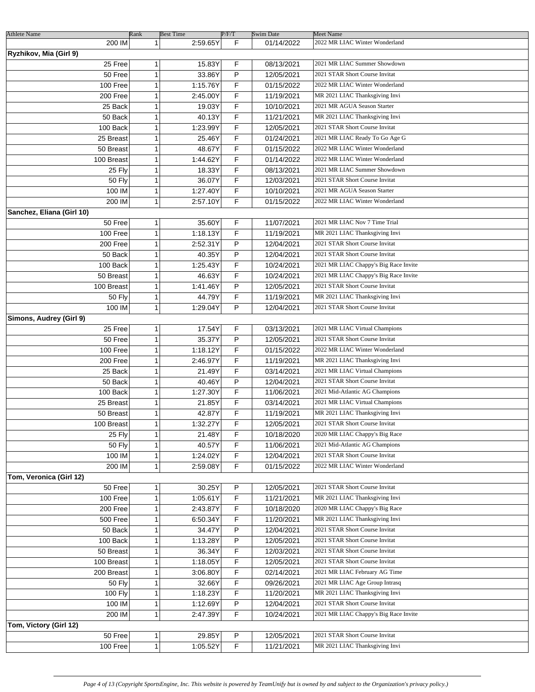| <b>Athlete Name</b>              | Rank         | <b>Best Time</b> | P/F/T | <b>Swim Date</b> | Meet Name                             |
|----------------------------------|--------------|------------------|-------|------------------|---------------------------------------|
| 200 IM<br>Ryzhikov, Mia (Girl 9) | $\mathbf{1}$ | 2:59.65Y         | F     | 01/14/2022       | 2022 MR LIAC Winter Wonderland        |
| 25 Free                          | 1            | 15.83Y           | F.    | 08/13/2021       | 2021 MR LIAC Summer Showdown          |
| 50 Free                          | 1            | 33.86Y           | P     | 12/05/2021       | 2021 STAR Short Course Invitat        |
| 100 Free                         | 1            | 1:15.76Y         | F     | 01/15/2022       | 2022 MR LIAC Winter Wonderland        |
| 200 Free                         | $\mathbf{1}$ | 2:45.00Y         | F     | 11/19/2021       | MR 2021 LIAC Thanksgiving Invi        |
| 25 Back                          | 1            | 19.03Y           | F     | 10/10/2021       | 2021 MR AGUA Season Starter           |
| 50 Back                          | 1            | 40.13Y           | F     | 11/21/2021       | MR 2021 LIAC Thanksgiving Invi        |
| 100 Back                         | 1            | 1:23.99Y         | F     | 12/05/2021       | 2021 STAR Short Course Invitat        |
| 25 Breast                        | $\mathbf{1}$ | 25.46Y           | F     | 01/24/2021       | 2021 MR LIAC Ready To Go Age G        |
| 50 Breast                        | $\mathbf{1}$ | 48.67Y           | F     | 01/15/2022       | 2022 MR LIAC Winter Wonderland        |
| 100 Breast                       | $\mathbf{1}$ | 1:44.62Y         | F     | 01/14/2022       | 2022 MR LIAC Winter Wonderland        |
| 25 Fly                           | $\mathbf{1}$ | 18.33Y           | F.    | 08/13/2021       | 2021 MR LIAC Summer Showdown          |
| 50 Fly                           | $\mathbf{1}$ | 36.07Y           | F.    | 12/03/2021       | 2021 STAR Short Course Invitat        |
| 100 IM                           | $\mathbf{1}$ | 1:27.40Y         | F.    | 10/10/2021       | 2021 MR AGUA Season Starter           |
| 200 IM                           | $\mathbf{1}$ | 2:57.10Y         | F     | 01/15/2022       | 2022 MR LIAC Winter Wonderland        |
| Sanchez, Eliana (Girl 10)        |              |                  |       |                  |                                       |
| 50 Free                          | 1            | 35.60Y           | F.    | 11/07/2021       | 2021 MR LIAC Nov 7 Time Trial         |
| 100 Free                         | $\mathbf{1}$ | 1:18.13Y         | F     | 11/19/2021       | MR 2021 LIAC Thanksgiving Invi        |
| 200 Free                         | 1            | 2:52.31Y         | P     | 12/04/2021       | 2021 STAR Short Course Invitat        |
| 50 Back                          | 1            | 40.35Y           | P     | 12/04/2021       | 2021 STAR Short Course Invitat        |
| 100 Back                         | 1            | 1:25.43Y         | F     | 10/24/2021       | 2021 MR LIAC Chappy's Big Race Invite |
| 50 Breast                        | $\mathbf{1}$ | 46.63Y           | F     | 10/24/2021       | 2021 MR LIAC Chappy's Big Race Invite |
| 100 Breast                       | $\mathbf{1}$ | 1:41.46Y         | P     | 12/05/2021       | 2021 STAR Short Course Invitat        |
| <b>50 Fly</b>                    | $\mathbf{1}$ | 44.79Y           | F     | 11/19/2021       | MR 2021 LIAC Thanksgiving Invi        |
| 100 IM                           | $\mathbf{1}$ | 1:29.04Y         | P     | 12/04/2021       | 2021 STAR Short Course Invitat        |
| Simons, Audrey (Girl 9)          |              |                  |       |                  |                                       |
| 25 Free                          | 1            | 17.54Y           | F     | 03/13/2021       | 2021 MR LIAC Virtual Champions        |
| 50 Free                          | 1            | 35.37Y           | P     | 12/05/2021       | 2021 STAR Short Course Invitat        |
| 100 Free                         | 1            | 1:18.12Y         | F     | 01/15/2022       | 2022 MR LIAC Winter Wonderland        |
| 200 Free                         | 1            | 2:46.97Y         | F     | 11/19/2021       | MR 2021 LIAC Thanksgiving Invi        |
| 25 Back                          | 1            | 21.49Y           | F     | 03/14/2021       | 2021 MR LIAC Virtual Champions        |
| 50 Back                          | 1            | 40.46Y           | P     | 12/04/2021       | 2021 STAR Short Course Invitat        |
| 100 Back                         | 1            | 1:27.30Y         | F     | 11/06/2021       | 2021 Mid-Atlantic AG Champions        |
| 25 Breast                        | 1            | 21.85Y           | F     | 03/14/2021       | 2021 MR LIAC Virtual Champions        |
| 50 Breast                        | $\mathbf{1}$ | 42.87Y           | F     | 11/19/2021       | MR 2021 LIAC Thanksgiving Invi        |
| 100 Breast                       | 1            | 1:32.27Y         | F     | 12/05/2021       | 2021 STAR Short Course Invitat        |
| 25 Fly                           | $\mathbf{1}$ | 21.48Y           | F     | 10/18/2020       | 2020 MR LIAC Chappy's Big Race        |
| 50 Fly                           | 1            | 40.57Y           | F     | 11/06/2021       | 2021 Mid-Atlantic AG Champions        |
| 100 IM                           | 1            | 1:24.02Y         | F     | 12/04/2021       | 2021 STAR Short Course Invitat        |
| 200 IM                           | 1            | 2:59.08Y         | F     | 01/15/2022       | 2022 MR LIAC Winter Wonderland        |
| Tom, Veronica (Girl 12)          |              |                  |       |                  |                                       |
| 50 Free                          | 1            | 30.25Y           | P     | 12/05/2021       | 2021 STAR Short Course Invitat        |
| 100 Free                         | 1            | 1:05.61Y         | F     | 11/21/2021       | MR 2021 LIAC Thanksgiving Invi        |
| 200 Free                         | 1            | 2:43.87Y         | F     | 10/18/2020       | 2020 MR LIAC Chappy's Big Race        |
| 500 Free                         | 1            | 6:50.34Y         | F     | 11/20/2021       | MR 2021 LIAC Thanksgiving Invi        |
| 50 Back                          | 1            | 34.47Y           | P     | 12/04/2021       | 2021 STAR Short Course Invitat        |
| 100 Back                         | 1            | 1:13.28Y         | P     | 12/05/2021       | 2021 STAR Short Course Invitat        |
| 50 Breast                        | 1            | 36.34Y           | F     | 12/03/2021       | 2021 STAR Short Course Invitat        |
| 100 Breast                       | 1            | 1:18.05Y         | F     | 12/05/2021       | 2021 STAR Short Course Invitat        |
| 200 Breast                       | 1            | 3:06.80Y         | F     | 02/14/2021       | 2021 MR LIAC February AG Time         |
| <b>50 Fly</b>                    | 1            | 32.66Y           | F     | 09/26/2021       | 2021 MR LIAC Age Group Intrasq        |
| 100 Fly                          | 1            | 1:18.23Y         | F     | 11/20/2021       | MR 2021 LIAC Thanksgiving Invi        |
| 100 IM                           | 1            | 1:12.69Y         | P     | 12/04/2021       | 2021 STAR Short Course Invitat        |
| 200 IM                           | 1            | 2:47.39Y         | F     | 10/24/2021       | 2021 MR LIAC Chappy's Big Race Invite |
| Tom, Victory (Girl 12)           |              |                  |       |                  |                                       |
| 50 Free                          | 1            | 29.85Y           | P     | 12/05/2021       | 2021 STAR Short Course Invitat        |
| 100 Free                         | 1            | 1:05.52Y         | F     | 11/21/2021       | MR 2021 LIAC Thanksgiving Invi        |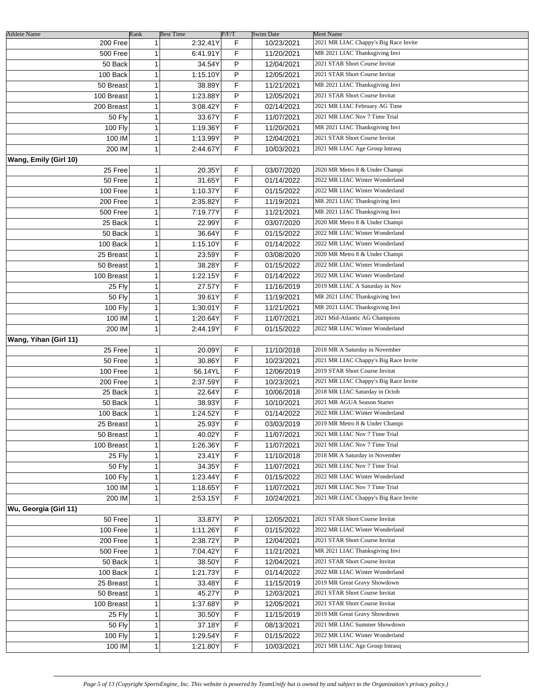| <b>Athlete Name</b>   | Rank         | <b>Best Time</b> | P/F/T | Swim Date  | <b>Meet Name</b>                      |
|-----------------------|--------------|------------------|-------|------------|---------------------------------------|
| 200 Free              | 1            | 2:32.41Y         | F     | 10/23/2021 | 2021 MR LIAC Chappy's Big Race Invite |
| 500 Free              | 1            | 6:41.91Y         | F     | 11/20/2021 | MR 2021 LIAC Thanksgiving Invi        |
| 50 Back               | 1            | 34.54Y           | P     | 12/04/2021 | 2021 STAR Short Course Invitat        |
| 100 Back              | 1            | 1:15.10Y         | P     | 12/05/2021 | 2021 STAR Short Course Invitat        |
| 50 Breast             | 1            | 38.89Y           | F     | 11/21/2021 | MR 2021 LIAC Thanksgiving Invi        |
| 100 Breast            | 1            | 1:23.88Y         | P     | 12/05/2021 | 2021 STAR Short Course Invitat        |
| 200 Breast            | $\mathbf{1}$ | 3:08.42Y         | F     | 02/14/2021 | 2021 MR LIAC February AG Time         |
| <b>50 Fly</b>         | $\mathbf{1}$ | 33.67Y           | F     | 11/07/2021 | 2021 MR LIAC Nov 7 Time Trial         |
|                       |              |                  | F     |            | MR 2021 LIAC Thanksgiving Invi        |
| <b>100 Fly</b>        | 1            | 1:19.36Y         |       | 11/20/2021 |                                       |
| 100 IM                | 1            | 1:13.99Y         | P     | 12/04/2021 | 2021 STAR Short Course Invitat        |
| 200 IM                | 1            | 2:44.67Y         | F     | 10/03/2021 | 2021 MR LIAC Age Group Intrasq        |
| Wang, Emily (Girl 10) |              |                  |       |            |                                       |
| 25 Free               | 1            | 20.35Y           | F     | 03/07/2020 | 2020 MR Metro 8 & Under Champi        |
| 50 Free               | 1            | 31.65Y           | F     | 01/14/2022 | 2022 MR LIAC Winter Wonderland        |
| 100 Free              | 1            | 1:10.37Y         | F     | 01/15/2022 | 2022 MR LIAC Winter Wonderland        |
| 200 Free              | 1            | 2:35.82Y         | F     | 11/19/2021 | MR 2021 LIAC Thanksgiving Invi        |
| 500 Free              | 1            | 7:19.77Y         | F     | 11/21/2021 | MR 2021 LIAC Thanksgiving Invi        |
| 25 Back               | 1            | 22.99Y           | F     | 03/07/2020 | 2020 MR Metro 8 & Under Champi        |
| 50 Back               | 1            | 36.64Y           | F     | 01/15/2022 | 2022 MR LIAC Winter Wonderland        |
| 100 Back              | 1            | 1:15.10Y         | F     | 01/14/2022 | 2022 MR LIAC Winter Wonderland        |
| 25 Breast             | 1            | 23.59Y           | F     | 03/08/2020 | 2020 MR Metro 8 & Under Champi        |
| 50 Breast             | 1            | 38.28Y           | F     | 01/15/2022 | 2022 MR LIAC Winter Wonderland        |
| 100 Breast            | 1            | 1:22.15Y         | F     | 01/14/2022 | 2022 MR LIAC Winter Wonderland        |
|                       | 1            |                  | F     |            | 2019 MR LIAC A Saturday in Nov        |
| 25 Fly                |              | 27.57Y           |       | 11/16/2019 |                                       |
| 50 Fly                | 1            | 39.61Y           | F     | 11/19/2021 | MR 2021 LIAC Thanksgiving Invi        |
| 100 Fly               | 1            | 1:30.01Y         | F     | 11/21/2021 | MR 2021 LIAC Thanksgiving Invi        |
| 100 IM                | 1            | 1:20.64Y         | F     | 11/07/2021 | 2021 Mid-Atlantic AG Champions        |
| 200 IM                | 1            | 2:44.19Y         | F     | 01/15/2022 | 2022 MR LIAC Winter Wonderland        |
| Wang, Yihan (Girl 11) |              |                  |       |            |                                       |
| 25 Free               | 1            | 20.09Y           | F     | 11/10/2018 | 2018 MR A Saturday in November        |
| 50 Free               | 1            | 30.86Y           | F     | 10/23/2021 | 2021 MR LIAC Chappy's Big Race Invite |
| 100 Free              | 1            | 56.14YL          | F     | 12/06/2019 | 2019 STAR Short Course Invitat        |
| 200 Free              | 1            | 2:37.59Y         | F     | 10/23/2021 | 2021 MR LIAC Chappy's Big Race Invite |
| 25 Back               | 1            | 22.64Y           | F     | 10/06/2018 | 2018 MR LIAC Saturday in Octob        |
| 50 Back               | 1            | 38.93Y           | F     | 10/10/2021 | 2021 MR AGUA Season Starter           |
| 100 Back              | 1            | 1:24.52Y         | F     | 01/14/2022 | 2022 MR LIAC Winter Wonderland        |
| 25 Breast             | 1            | 25.93Y           | F     | 03/03/2019 | 2019 MR Metro 8 & Under Champi        |
| 50 Breast             | 1            | 40.02Y           | F     | 11/07/2021 | 2021 MR LIAC Nov 7 Time Trial         |
| 100 Breast            | 1            | 1:26.36Y         | F     | 11/07/2021 | 2021 MR LIAC Nov 7 Time Trial         |
| 25 Fly                | 1            | 23.41Y           | F     | 11/10/2018 | 2018 MR A Saturday in November        |
|                       |              |                  | F     |            |                                       |
| <b>50 Fly</b>         | 1            | 34.35Y           |       | 11/07/2021 | 2021 MR LIAC Nov 7 Time Trial         |
| 100 Fly               | 1            | 1:23.44Y         | F     | 01/15/2022 | 2022 MR LIAC Winter Wonderland        |
| 100 IM                | 1            | 1:18.65Y         | F     | 11/07/2021 | 2021 MR LIAC Nov 7 Time Trial         |
| 200 IM                | 1            | 2:53.15Y         | F     | 10/24/2021 | 2021 MR LIAC Chappy's Big Race Invite |
| Wu, Georgia (Girl 11) |              |                  |       |            |                                       |
| 50 Free               | 1            | 33.87Y           | P     | 12/05/2021 | 2021 STAR Short Course Invitat        |
| 100 Free              | 1            | 1:11.26Y         | F     | 01/15/2022 | 2022 MR LIAC Winter Wonderland        |
| 200 Free              | 1            | 2:38.72Y         | P     | 12/04/2021 | 2021 STAR Short Course Invitat        |
| 500 Free              | 1            | 7:04.42Y         | F     | 11/21/2021 | MR 2021 LIAC Thanksgiving Invi        |
| 50 Back               | 1            | 38.50Y           | F     | 12/04/2021 | 2021 STAR Short Course Invitat        |
| 100 Back              | 1            | 1:21.73Y         | F     | 01/14/2022 | 2022 MR LIAC Winter Wonderland        |
| 25 Breast             | 1            | 33.48Y           | F     | 11/15/2019 | 2019 MR Great Gravy Showdown          |
| 50 Breast             | 1            | 45.27Y           | P     | 12/03/2021 | 2021 STAR Short Course Invitat        |
| 100 Breast            | 1            | 1:37.68Y         | P     | 12/05/2021 | 2021 STAR Short Course Invitat        |
|                       | 1            |                  | F     |            | 2019 MR Great Gravy Showdown          |
| 25 Fly                |              | 30.50Y           |       | 11/15/2019 |                                       |
| <b>50 Fly</b>         | 1            | 37.18Y           | F     | 08/13/2021 | 2021 MR LIAC Summer Showdown          |
| 100 Fly               | 1            | 1:29.54Y         | F     | 01/15/2022 | 2022 MR LIAC Winter Wonderland        |
| 100 IM                | 1            | 1:21.80Y         | F     | 10/03/2021 | 2021 MR LIAC Age Group Intrasq        |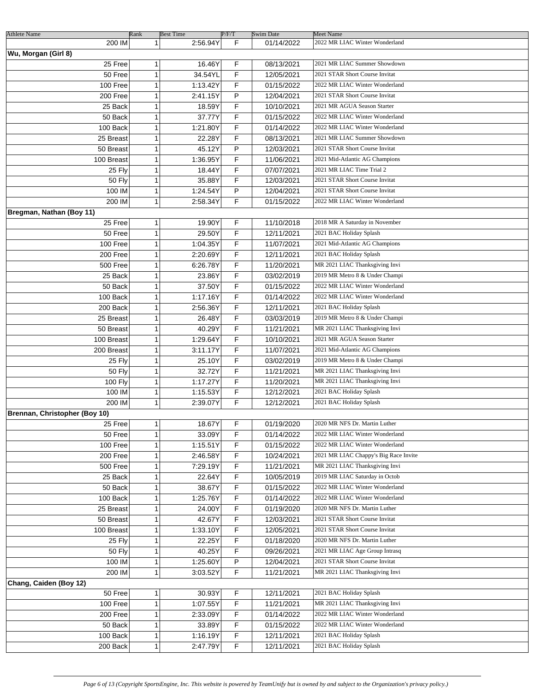| <b>Athlete Name</b>           | Rank         | <b>Best Time</b> | P/F/T | <b>Swim Date</b> | Meet Name                             |
|-------------------------------|--------------|------------------|-------|------------------|---------------------------------------|
| 200 IM                        | $\mathbf{1}$ | 2:56.94Y         | F     | 01/14/2022       | 2022 MR LIAC Winter Wonderland        |
| Wu, Morgan (Girl 8)           |              |                  |       |                  |                                       |
| 25 Free                       | 1            | 16.46Y           | F     | 08/13/2021       | 2021 MR LIAC Summer Showdown          |
| 50 Free                       | $\mathbf{1}$ | 34.54YL          | F     | 12/05/2021       | 2021 STAR Short Course Invitat        |
| 100 Free                      | $\mathbf{1}$ | 1:13.42Y         | F     | 01/15/2022       | 2022 MR LIAC Winter Wonderland        |
| 200 Free                      | $\mathbf{1}$ | 2:41.15Y         | P     | 12/04/2021       | 2021 STAR Short Course Invitat        |
| 25 Back                       | 1            | 18.59Y           | F.    | 10/10/2021       | 2021 MR AGUA Season Starter           |
| 50 Back                       | 1            | 37.77Y           | F     | 01/15/2022       | 2022 MR LIAC Winter Wonderland        |
| 100 Back                      | 1            | 1:21.80Y         | F     | 01/14/2022       | 2022 MR LIAC Winter Wonderland        |
| 25 Breast                     | 1            | 22.28Y           | F     | 08/13/2021       | 2021 MR LIAC Summer Showdown          |
| 50 Breast                     | 1            | 45.12Y           | P     | 12/03/2021       | 2021 STAR Short Course Invitat        |
| 100 Breast                    | 1            | 1:36.95Y         | F     | 11/06/2021       | 2021 Mid-Atlantic AG Champions        |
|                               | $\mathbf{1}$ | 18.44Y           | F     |                  | 2021 MR LIAC Time Trial 2             |
| 25 Fly                        | $\mathbf{1}$ | 35.88Y           | F     | 07/07/2021       | 2021 STAR Short Course Invitat        |
| 50 Fly                        |              |                  | P     | 12/03/2021       | 2021 STAR Short Course Invitat        |
| 100 IM                        | $\mathbf{1}$ | 1:24.54Y         |       | 12/04/2021       |                                       |
| 200 IM                        | $\mathbf{1}$ | 2:58.34Y         | F.    | 01/15/2022       | 2022 MR LIAC Winter Wonderland        |
| Bregman, Nathan (Boy 11)      |              |                  |       |                  |                                       |
| 25 Free                       | $\mathbf{1}$ | 19.90Y           | F     | 11/10/2018       | 2018 MR A Saturday in November        |
| 50 Free                       | 1            | 29.50Y           | F     | 12/11/2021       | 2021 BAC Holiday Splash               |
| 100 Free                      | 1            | 1:04.35Y         | F     | 11/07/2021       | 2021 Mid-Atlantic AG Champions        |
| 200 Free                      | 1            | 2:20.69Y         | F     | 12/11/2021       | 2021 BAC Holiday Splash               |
| 500 Free                      | 1            | 6:26.78Y         | F     | 11/20/2021       | MR 2021 LIAC Thanksgiving Invi        |
| 25 Back                       | 1            | 23.86Y           | F     | 03/02/2019       | 2019 MR Metro 8 & Under Champi        |
| 50 Back                       | $\mathbf{1}$ | 37.50Y           | F     | 01/15/2022       | 2022 MR LIAC Winter Wonderland        |
| 100 Back                      | $\mathbf{1}$ | 1:17.16Y         | F     | 01/14/2022       | 2022 MR LIAC Winter Wonderland        |
| 200 Back                      | $\mathbf{1}$ | 2:56.36Y         | F     | 12/11/2021       | 2021 BAC Holiday Splash               |
| 25 Breast                     | $\mathbf{1}$ | 26.48Y           | F     | 03/03/2019       | 2019 MR Metro 8 & Under Champi        |
| 50 Breast                     | $\mathbf{1}$ | 40.29Y           | F     | 11/21/2021       | MR 2021 LIAC Thanksgiving Invi        |
| 100 Breast                    | 1            | 1:29.64Y         | F     | 10/10/2021       | 2021 MR AGUA Season Starter           |
| 200 Breast                    | 1            | 3:11.17Y         | F     | 11/07/2021       | 2021 Mid-Atlantic AG Champions        |
| 25 Fly                        | 1            | 25.10Y           | F.    | 03/02/2019       | 2019 MR Metro 8 & Under Champi        |
| 50 Fly                        | 1            | 32.72Y           | F     | 11/21/2021       | MR 2021 LIAC Thanksgiving Invi        |
| 100 Fly                       | 1            | 1:17.27Y         | F     | 11/20/2021       | MR 2021 LIAC Thanksgiving Invi        |
| 100 IM                        | 1            | 1:15.53Y         | F.    | 12/12/2021       | 2021 BAC Holiday Splash               |
| 200 IM                        | 1            | 2:39.07Y         | F.    | 12/12/2021       | 2021 BAC Holiday Splash               |
| Brennan, Christopher (Boy 10) |              |                  |       |                  |                                       |
| 25 Free                       | 1            | 18.67Y           | F     | 01/19/2020       | 2020 MR NFS Dr. Martin Luther         |
| 50 Free                       | 1            | 33.09Y           | F     | 01/14/2022       | 2022 MR LIAC Winter Wonderland        |
| 100 Free                      | 1            | 1:15.51Y         | F     | 01/15/2022       | 2022 MR LIAC Winter Wonderland        |
| 200 Free                      | 1            | 2:46.58Y         | F     | 10/24/2021       | 2021 MR LIAC Chappy's Big Race Invite |
| 500 Free                      | 1            | 7:29.19Y         | F     | 11/21/2021       | MR 2021 LIAC Thanksgiving Invi        |
| 25 Back                       | $\mathbf{1}$ | 22.64Y           | F     | 10/05/2019       | 2019 MR LIAC Saturday in Octob        |
| 50 Back                       | $\mathbf{1}$ | 38.67Y           | F.    | 01/15/2022       | 2022 MR LIAC Winter Wonderland        |
| 100 Back                      | 1            | 1:25.76Y         | F     | 01/14/2022       | 2022 MR LIAC Winter Wonderland        |
| 25 Breast                     | 1            | 24.00Y           | F.    | 01/19/2020       | 2020 MR NFS Dr. Martin Luther         |
| 50 Breast                     | 1            | 42.67Y           | F.    | 12/03/2021       | 2021 STAR Short Course Invitat        |
| 100 Breast                    | 1            | 1:33.10Y         | F     | 12/05/2021       | 2021 STAR Short Course Invitat        |
| 25 Fly                        | 1            | 22.25Y           | F     | 01/18/2020       | 2020 MR NFS Dr. Martin Luther         |
| 50 Fly                        | 1            | 40.25Y           | F     | 09/26/2021       | 2021 MR LIAC Age Group Intrasq        |
| 100 IM                        | 1            | 1:25.60Y         | P     | 12/04/2021       | 2021 STAR Short Course Invitat        |
|                               |              |                  |       |                  |                                       |
| 200 IM                        | $\mathbf{1}$ | 3:03.52Y         | F     | 11/21/2021       | MR 2021 LIAC Thanksgiving Invi        |
| Chang, Caiden (Boy 12)        |              |                  |       |                  |                                       |
| 50 Free                       | 1            | 30.93Y           | F     | 12/11/2021       | 2021 BAC Holiday Splash               |
| 100 Free                      | $\mathbf{1}$ | 1:07.55Y         | F     | 11/21/2021       | MR 2021 LIAC Thanksgiving Invi        |
| 200 Free                      | $\mathbf{1}$ | 2:33.09Y         | F     | 01/14/2022       | 2022 MR LIAC Winter Wonderland        |
| 50 Back                       | $\mathbf{1}$ | 33.89Y           | F     | 01/15/2022       | 2022 MR LIAC Winter Wonderland        |
| 100 Back                      | $\mathbf{1}$ | 1:16.19Y         | F     | 12/11/2021       | 2021 BAC Holiday Splash               |
| 200 Back                      | 1            | 2:47.79Y         | F     | 12/11/2021       | 2021 BAC Holiday Splash               |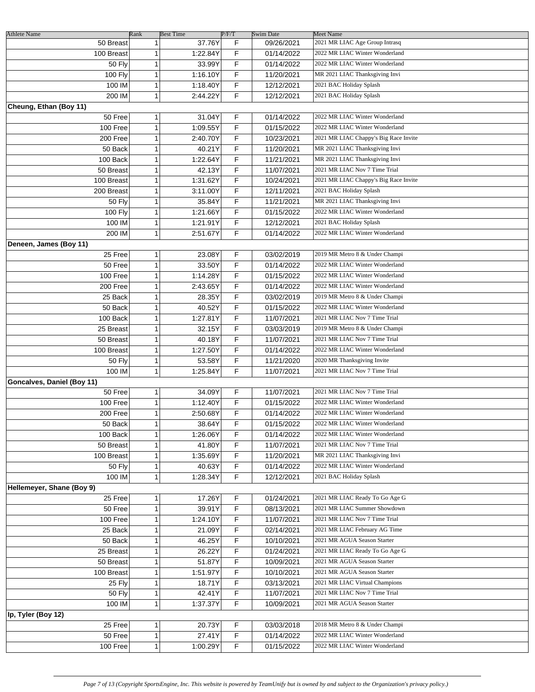| <b>Athlete Name</b>        | Rank         | <b>Best Time</b> | P/F/T | Swim Date  | <b>Meet Name</b>                      |
|----------------------------|--------------|------------------|-------|------------|---------------------------------------|
| 50 Breast                  | 1            | 37.76Y           | F     | 09/26/2021 | 2021 MR LIAC Age Group Intrasq        |
| 100 Breast                 | 1            | 1:22.84Y         | F     | 01/14/2022 | 2022 MR LIAC Winter Wonderland        |
| 50 Fly                     | 1            | 33.99Y           | F     | 01/14/2022 | 2022 MR LIAC Winter Wonderland        |
|                            | 1            | 1:16.10Y         | F     | 11/20/2021 | MR 2021 LIAC Thanksgiving Invi        |
| <b>100 Fly</b>             |              |                  |       |            |                                       |
| 100 IM                     | $\mathbf{1}$ | 1:18.40Y         | F     | 12/12/2021 | 2021 BAC Holiday Splash               |
| 200 IM                     | $\mathbf{1}$ | 2:44.22Y         | F     | 12/12/2021 | 2021 BAC Holiday Splash               |
| Cheung, Ethan (Boy 11)     |              |                  |       |            |                                       |
| 50 Free                    | $\mathbf{1}$ | 31.04Y           | F     | 01/14/2022 | 2022 MR LIAC Winter Wonderland        |
| 100 Free                   | $\mathbf{1}$ | 1:09.55Y         | F     | 01/15/2022 | 2022 MR LIAC Winter Wonderland        |
| 200 Free                   | $\mathbf{1}$ | 2:40.70Y         | F.    | 10/23/2021 | 2021 MR LIAC Chappy's Big Race Invite |
| 50 Back                    | $\mathbf{1}$ | 40.21Y           | F     | 11/20/2021 | MR 2021 LIAC Thanksgiving Invi        |
| 100 Back                   | $\mathbf{1}$ | 1:22.64Y         | F     | 11/21/2021 | MR 2021 LIAC Thanksgiving Invi        |
|                            |              |                  |       |            |                                       |
| 50 Breast                  | 1            | 42.13Y           | F.    | 11/07/2021 | 2021 MR LIAC Nov 7 Time Trial         |
| 100 Breast                 | 1            | 1:31.62Y         | F     | 10/24/2021 | 2021 MR LIAC Chappy's Big Race Invite |
| 200 Breast                 | 1            | 3:11.00Y         | F     | 12/11/2021 | 2021 BAC Holiday Splash               |
| <b>50 Fly</b>              | $\mathbf{1}$ | 35.84Y           | F     | 11/21/2021 | MR 2021 LIAC Thanksgiving Invi        |
| <b>100 Fly</b>             | 1            | 1:21.66Y         | F     | 01/15/2022 | 2022 MR LIAC Winter Wonderland        |
| 100 IM                     | 1            | 1:21.91Y         | F.    | 12/12/2021 | 2021 BAC Holiday Splash               |
| 200 IM                     | $\mathbf{1}$ | 2:51.67Y         | F     | 01/14/2022 | 2022 MR LIAC Winter Wonderland        |
| Deneen, James (Boy 11)     |              |                  |       |            |                                       |
|                            |              |                  |       |            | 2019 MR Metro 8 & Under Champi        |
| 25 Free                    | $\mathbf{1}$ | 23.08Y           | F     | 03/02/2019 |                                       |
| 50 Free                    | $\mathbf{1}$ | 33.50Y           | F     | 01/14/2022 | 2022 MR LIAC Winter Wonderland        |
| 100 Free                   | $\mathbf{1}$ | 1:14.28Y         | F.    | 01/15/2022 | 2022 MR LIAC Winter Wonderland        |
| 200 Free                   | $\mathbf{1}$ | 2:43.65Y         | F.    | 01/14/2022 | 2022 MR LIAC Winter Wonderland        |
| 25 Back                    | $\mathbf{1}$ | 28.35Y           | F.    | 03/02/2019 | 2019 MR Metro 8 & Under Champi        |
| 50 Back                    | 1            | 40.52Y           | F     | 01/15/2022 | 2022 MR LIAC Winter Wonderland        |
| 100 Back                   | 1            | 1:27.81Y         | F     | 11/07/2021 | 2021 MR LIAC Nov 7 Time Trial         |
| 25 Breast                  | 1            | 32.15Y           | F     | 03/03/2019 | 2019 MR Metro 8 & Under Champi        |
|                            |              |                  | F     |            | 2021 MR LIAC Nov 7 Time Trial         |
| 50 Breast                  | $\mathbf{1}$ | 40.18Y           |       | 11/07/2021 |                                       |
| 100 Breast                 | $\mathbf{1}$ | 1:27.50Y         | F     | 01/14/2022 | 2022 MR LIAC Winter Wonderland        |
| <b>50 Fly</b>              | 1            | 53.58Y           | F     | 11/21/2020 | 2020 MR Thanksgiving Invite           |
| 100 IM                     | $\mathbf{1}$ | 1:25.84Y         | F     | 11/07/2021 | 2021 MR LIAC Nov 7 Time Trial         |
| Goncalves, Daniel (Boy 11) |              |                  |       |            |                                       |
| 50 Free                    | 1            | 34.09Y           | F     | 11/07/2021 | 2021 MR LIAC Nov 7 Time Trial         |
| 100 Free                   | 1            | 1:12.40Y         | F     | 01/15/2022 | 2022 MR LIAC Winter Wonderland        |
| 200 Free                   | $\mathbf{1}$ | 2:50.68Y         | F.    | 01/14/2022 | 2022 MR LIAC Winter Wonderland        |
|                            |              |                  |       |            | 2022 MR LIAC Winter Wonderland        |
| 50 Back                    | 1            | 38.64Y           | F     | 01/15/2022 |                                       |
| 100 Back                   | $\mathbf{1}$ | 1:26.06Y         | F     | 01/14/2022 | 2022 MR LIAC Winter Wonderland        |
| 50 Breast                  | 1            | 41.80Y           | F     | 11/07/2021 | 2021 MR LIAC Nov 7 Time Trial         |
| 100 Breast                 | 1            | 1:35.69Y         | F     | 11/20/2021 | MR 2021 LIAC Thanksgiving Invi        |
| <b>50 Fly</b>              | 1            | 40.63Y           | F     | 01/14/2022 | 2022 MR LIAC Winter Wonderland        |
| 100 IM                     | 1            | 1:28.34Y         | F     | 12/12/2021 | 2021 BAC Holiday Splash               |
| Hellemeyer, Shane (Boy 9)  |              |                  |       |            |                                       |
| 25 Free                    | 1            | 17.26Y           | F     | 01/24/2021 | 2021 MR LIAC Ready To Go Age G        |
| 50 Free                    | 1            | 39.91Y           | F     | 08/13/2021 | 2021 MR LIAC Summer Showdown          |
| 100 Free                   | 1            | 1:24.10Y         | F     | 11/07/2021 | 2021 MR LIAC Nov 7 Time Trial         |
|                            |              |                  |       |            |                                       |
| 25 Back                    | 1            | 21.09Y           | F     | 02/14/2021 | 2021 MR LIAC February AG Time         |
| 50 Back                    | 1            | 46.25Y           | F     | 10/10/2021 | 2021 MR AGUA Season Starter           |
| 25 Breast                  | $\mathbf{1}$ | 26.22Y           | F     | 01/24/2021 | 2021 MR LIAC Ready To Go Age G        |
| 50 Breast                  | 1            | 51.87Y           | F     | 10/09/2021 | 2021 MR AGUA Season Starter           |
| 100 Breast                 | 1            | 1:51.97Y         | F     | 10/10/2021 | 2021 MR AGUA Season Starter           |
| 25 Fly                     | 1            | 18.71Y           | F     | 03/13/2021 | 2021 MR LIAC Virtual Champions        |
| <b>50 Fly</b>              | 1            | 42.41Y           | F     | 11/07/2021 | 2021 MR LIAC Nov 7 Time Trial         |
| 100 IM                     | 1            | 1:37.37Y         | F     | 10/09/2021 | 2021 MR AGUA Season Starter           |
|                            |              |                  |       |            |                                       |
| Ip, Tyler (Boy 12)         |              |                  |       |            |                                       |
| 25 Free                    | 1            | 20.73Y           | F     | 03/03/2018 | 2018 MR Metro 8 & Under Champi        |
| 50 Free                    | $\mathbf{1}$ | 27.41Y           | F     | 01/14/2022 | 2022 MR LIAC Winter Wonderland        |
| 100 Free                   | 1            | 1:00.29Y         | F     | 01/15/2022 | 2022 MR LIAC Winter Wonderland        |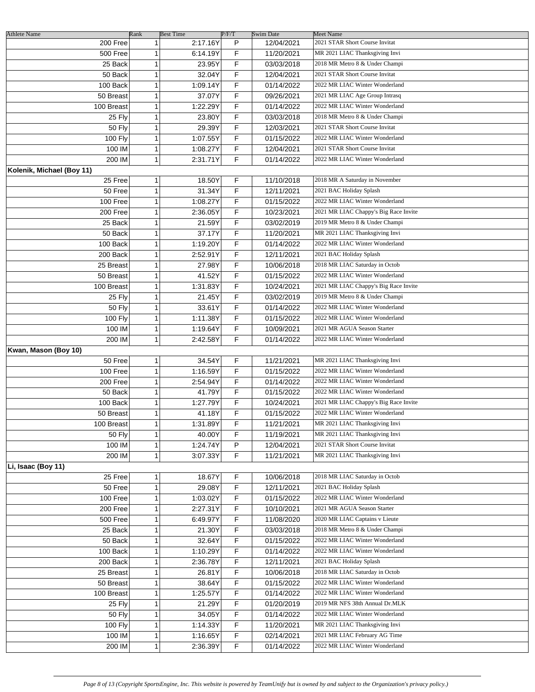| <b>Athlete Name</b>       | Rank         | <b>Best Time</b> |                       | P/F/T | Swim Date  | Meet Name                             |
|---------------------------|--------------|------------------|-----------------------|-------|------------|---------------------------------------|
| 200 Free                  | $\mathbf{1}$ |                  | 2:17.16Y              | P     | 12/04/2021 | 2021 STAR Short Course Invitat        |
| 500 Free                  | 1            |                  | 6:14.19Y              | F     | 11/20/2021 | MR 2021 LIAC Thanksgiving Invi        |
| 25 Back                   | 1            |                  | 23.95Y                | F     | 03/03/2018 | 2018 MR Metro 8 & Under Champi        |
| 50 Back                   | 1            |                  | 32.04Y                | F     | 12/04/2021 | 2021 STAR Short Course Invitat        |
| 100 Back                  | 1            |                  | 1:09.14Y              | F     | 01/14/2022 | 2022 MR LIAC Winter Wonderland        |
| 50 Breast                 | 1            |                  | 37.07Y                | F     | 09/26/2021 | 2021 MR LIAC Age Group Intrasq        |
| 100 Breast                | 1            |                  | 1:22.29Y              | F     | 01/14/2022 | 2022 MR LIAC Winter Wonderland        |
|                           | 1            |                  | 23.80Y                | F     | 03/03/2018 | 2018 MR Metro 8 & Under Champi        |
| 25 Fly                    |              |                  |                       |       |            |                                       |
| 50 Fly                    | 1            |                  | 29.39Y                | F     | 12/03/2021 | 2021 STAR Short Course Invitat        |
| 100 Fly                   | 1            |                  | 1:07.55Y              | F     | 01/15/2022 | 2022 MR LIAC Winter Wonderland        |
| 100 IM                    | 1            |                  | 1:08.27Y              | F     | 12/04/2021 | 2021 STAR Short Course Invitat        |
| 200 IM                    | $\mathbf{1}$ |                  | 2:31.71Y              | F     | 01/14/2022 | 2022 MR LIAC Winter Wonderland        |
| Kolenik, Michael (Boy 11) |              |                  |                       |       |            |                                       |
| 25 Free                   | 1            |                  | 18.50Y                | F     | 11/10/2018 | 2018 MR A Saturday in November        |
| 50 Free                   | 1            |                  | 31.34Y                | F     | 12/11/2021 | 2021 BAC Holiday Splash               |
| 100 Free                  | 1            |                  | 1:08.27Y              | F     | 01/15/2022 | 2022 MR LIAC Winter Wonderland        |
| 200 Free                  | 1            |                  | 2:36.05Y              | F     | 10/23/2021 | 2021 MR LIAC Chappy's Big Race Invite |
| 25 Back                   | 1            |                  | 21.59Y                | F     | 03/02/2019 | 2019 MR Metro 8 & Under Champi        |
| 50 Back                   | 1            |                  | 37.17Y                | F     | 11/20/2021 | MR 2021 LIAC Thanksgiving Invi        |
| 100 Back                  | 1            |                  | 1:19.20Y              | F     | 01/14/2022 | 2022 MR LIAC Winter Wonderland        |
|                           |              |                  |                       |       |            |                                       |
| 200 Back                  | 1            |                  | 2:52.91Y              | F     | 12/11/2021 | 2021 BAC Holiday Splash               |
| 25 Breast                 | 1            |                  | 27.98Y                | F     | 10/06/2018 | 2018 MR LIAC Saturday in Octob        |
| 50 Breast                 | 1            |                  | 41.52Y                | F     | 01/15/2022 | 2022 MR LIAC Winter Wonderland        |
| 100 Breast                | 1            |                  | 1:31.83Y              | F     | 10/24/2021 | 2021 MR LIAC Chappy's Big Race Invite |
| 25 Fly                    | 1            |                  | 21.45Y                | F     | 03/02/2019 | 2019 MR Metro 8 & Under Champi        |
| <b>50 Fly</b>             | 1            |                  | 33.61Y                | F     | 01/14/2022 | 2022 MR LIAC Winter Wonderland        |
| 100 Fly                   | 1            |                  | 1:11.38Y              | F     | 01/15/2022 | 2022 MR LIAC Winter Wonderland        |
| 100 IM                    | 1            |                  | 1:19.64Y              | F     | 10/09/2021 | 2021 MR AGUA Season Starter           |
| 200 IM                    | $\mathbf{1}$ |                  | 2:42.58Y              | F     | 01/14/2022 | 2022 MR LIAC Winter Wonderland        |
| Kwan, Mason (Boy 10)      |              |                  |                       |       |            |                                       |
| 50 Free                   | 1            |                  | 34.54Y                | F     | 11/21/2021 | MR 2021 LIAC Thanksgiving Invi        |
| 100 Free                  | 1            |                  | 1:16.59Y              | F     | 01/15/2022 | 2022 MR LIAC Winter Wonderland        |
|                           | 1            |                  | 2:54.94Y              | F     |            | 2022 MR LIAC Winter Wonderland        |
| 200 Free                  |              |                  |                       |       | 01/14/2022 |                                       |
| 50 Back                   | 1            |                  | 41.79Y                | F     | 01/15/2022 | 2022 MR LIAC Winter Wonderland        |
| 100 Back                  | 1            |                  | 1:27.79Y              | F     | 10/24/2021 | 2021 MR LIAC Chappy's Big Race Invite |
| 50 Breast                 | 1            |                  | 41.18Y                | F     | 01/15/2022 | 2022 MR LIAC Winter Wonderland        |
| 100 Breast                | 1            |                  | 1:31.89Y              | F     | 11/21/2021 | MR 2021 LIAC Thanksgiving Invi        |
| 50 Fly                    | 1            |                  | 40.00Y                | F     | 11/19/2021 | MR 2021 LIAC Thanksgiving Invi        |
| 100 IM                    | 1            |                  | 1:24.74Y              | P     | 12/04/2021 | 2021 STAR Short Course Invitat        |
| 200 IM                    | 1            |                  | $3.07.33\overline{Y}$ | F.    | 11/21/2021 | MR 2021 LIAC Thanksgiving Invi        |
| Li, Isaac (Boy 11)        |              |                  |                       |       |            |                                       |
| 25 Free                   | 1            |                  | 18.67Y                | F     | 10/06/2018 | 2018 MR LIAC Saturday in Octob        |
| 50 Free                   | 1            |                  | 29.08Y                | F     | 12/11/2021 | 2021 BAC Holiday Splash               |
| 100 Free                  | 1            |                  | 1:03.02Y              | F     | 01/15/2022 | 2022 MR LIAC Winter Wonderland        |
| 200 Free                  | 1            |                  | 2:27.31Y              | F     | 10/10/2021 | 2021 MR AGUA Season Starter           |
|                           |              |                  |                       |       |            | 2020 MR LIAC Captains v Lieute        |
| 500 Free                  | 1            |                  | 6:49.97Y              | F     | 11/08/2020 |                                       |
| 25 Back                   | 1            |                  | 21.30Y                | F     | 03/03/2018 | 2018 MR Metro 8 & Under Champi        |
| 50 Back                   | 1            |                  | 32.64Y                | F     | 01/15/2022 | 2022 MR LIAC Winter Wonderland        |
| 100 Back                  | 1            |                  | 1:10.29Y              | F     | 01/14/2022 | 2022 MR LIAC Winter Wonderland        |
| 200 Back                  | 1            |                  | 2:36.78Y              | F     | 12/11/2021 | 2021 BAC Holiday Splash               |
| 25 Breast                 | 1            |                  | 26.81Y                | F.    | 10/06/2018 | 2018 MR LIAC Saturday in Octob        |
| 50 Breast                 | 1            |                  | 38.64Y                | F.    | 01/15/2022 | 2022 MR LIAC Winter Wonderland        |
| 100 Breast                | 1            |                  | 1:25.57Y              | F.    | 01/14/2022 | 2022 MR LIAC Winter Wonderland        |
| 25 Fly                    | 1            |                  | 21.29Y                | F.    | 01/20/2019 | 2019 MR NFS 38th Annual Dr.MLK        |
| 50 Fly                    | 1            |                  | 34.05Y                | F     | 01/14/2022 | 2022 MR LIAC Winter Wonderland        |
| 100 Fly                   | 1            |                  | 1:14.33Y              | F     | 11/20/2021 | MR 2021 LIAC Thanksgiving Invi        |
| 100 IM                    | 1            |                  |                       | F     |            | 2021 MR LIAC February AG Time         |
|                           |              |                  | 1:16.65Y              |       | 02/14/2021 |                                       |
| 200 IM                    | 1            |                  | 2:36.39Y              | F     | 01/14/2022 | 2022 MR LIAC Winter Wonderland        |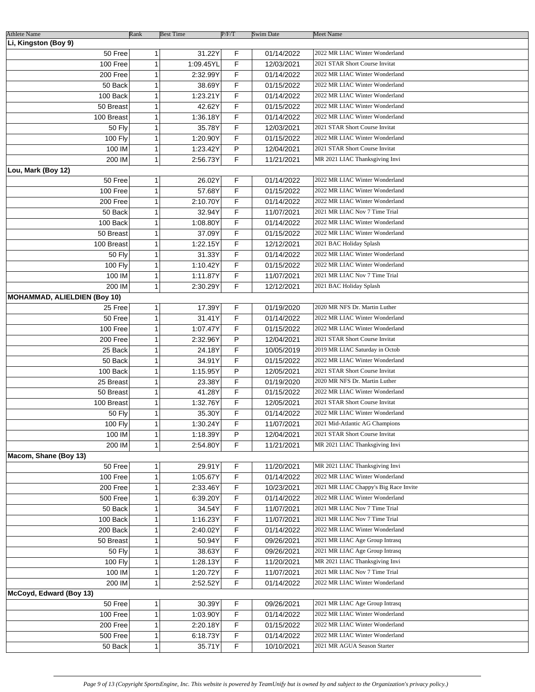| <b>Athlete Name</b>                 | Rank         | <b>Best Time</b> | P/F/T | <b>Swim Date</b> | Meet Name                             |
|-------------------------------------|--------------|------------------|-------|------------------|---------------------------------------|
| Li, Kingston (Boy 9)                |              |                  |       |                  |                                       |
| 50 Free                             | 1            | 31.22Y           | F     | 01/14/2022       | 2022 MR LIAC Winter Wonderland        |
| 100 Free                            | 1            | 1:09.45YL        | F     | 12/03/2021       | 2021 STAR Short Course Invitat        |
| 200 Free                            | 1            | 2:32.99Y         | F     | 01/14/2022       | 2022 MR LIAC Winter Wonderland        |
| 50 Back                             | 1            | 38.69Y           | F     | 01/15/2022       | 2022 MR LIAC Winter Wonderland        |
| 100 Back                            | 1            | 1:23.21Y         | F     | 01/14/2022       | 2022 MR LIAC Winter Wonderland        |
| 50 Breast                           | $\mathbf{1}$ | 42.62Y           | F     | 01/15/2022       | 2022 MR LIAC Winter Wonderland        |
| 100 Breast                          | 1            | 1:36.18Y         | F     | 01/14/2022       | 2022 MR LIAC Winter Wonderland        |
| 50 Fly                              | $\mathbf{1}$ | 35.78Y           | F     | 12/03/2021       | 2021 STAR Short Course Invitat        |
| <b>100 Fly</b>                      | 1            | 1:20.90Y         | F     | 01/15/2022       | 2022 MR LIAC Winter Wonderland        |
| 100 IM                              | 1            | 1:23.42Y         | P     | 12/04/2021       | 2021 STAR Short Course Invitat        |
| 200 IM                              | 1            | 2:56.73Y         | F     | 11/21/2021       | MR 2021 LIAC Thanksgiving Invi        |
| Lou, Mark (Boy 12)                  |              |                  |       |                  |                                       |
| 50 Free                             | 1            | 26.02Y           | F     | 01/14/2022       | 2022 MR LIAC Winter Wonderland        |
| 100 Free                            | 1            | 57.68Y           | F     | 01/15/2022       | 2022 MR LIAC Winter Wonderland        |
|                                     |              | 2:10.70Y         | F     |                  | 2022 MR LIAC Winter Wonderland        |
| 200 Free                            | 1            |                  | F     | 01/14/2022       | 2021 MR LIAC Nov 7 Time Trial         |
| 50 Back                             | 1            | 32.94Y           |       | 11/07/2021       | 2022 MR LIAC Winter Wonderland        |
| 100 Back                            | 1            | 1:08.80Y         | F     | 01/14/2022       |                                       |
| 50 Breast                           | 1            | 37.09Y           | F     | 01/15/2022       | 2022 MR LIAC Winter Wonderland        |
| 100 Breast                          | 1            | 1:22.15Y         | F     | 12/12/2021       | 2021 BAC Holiday Splash               |
| 50 Fly                              | 1            | 31.33Y           | F     | 01/14/2022       | 2022 MR LIAC Winter Wonderland        |
| 100 Fly                             | 1            | 1:10.42Y         | F     | 01/15/2022       | 2022 MR LIAC Winter Wonderland        |
| 100 IM                              | 1            | 1:11.87Y         | F     | 11/07/2021       | 2021 MR LIAC Nov 7 Time Trial         |
| 200 IM                              | 1            | 2:30.29Y         | F     | 12/12/2021       | 2021 BAC Holiday Splash               |
| <b>MOHAMMAD, ALIELDIEN (Boy 10)</b> |              |                  |       |                  |                                       |
| 25 Free                             | 1            | 17.39Y           | F     | 01/19/2020       | 2020 MR NFS Dr. Martin Luther         |
| 50 Free                             | 1            | 31.41Y           | F     | 01/14/2022       | 2022 MR LIAC Winter Wonderland        |
| 100 Free                            | 1            | 1:07.47Y         | F     | 01/15/2022       | 2022 MR LIAC Winter Wonderland        |
| 200 Free                            | 1            | 2:32.96Y         | P     | 12/04/2021       | 2021 STAR Short Course Invitat        |
| 25 Back                             | 1            | 24.18Y           | F     | 10/05/2019       | 2019 MR LIAC Saturday in Octob        |
| 50 Back                             | 1            | 34.91Y           | F     | 01/15/2022       | 2022 MR LIAC Winter Wonderland        |
| 100 Back                            | 1            | 1:15.95Y         | P     | 12/05/2021       | 2021 STAR Short Course Invitat        |
| 25 Breast                           | 1            | 23.38Y           | F     | 01/19/2020       | 2020 MR NFS Dr. Martin Luther         |
| 50 Breast                           | 1            | 41.28Y           | F     | 01/15/2022       | 2022 MR LIAC Winter Wonderland        |
| 100 Breast                          | 1            | 1:32.76Y         | F     | 12/05/2021       | 2021 STAR Short Course Invitat        |
| 50 Fly                              | 1            | 35.30Y           | F     | 01/14/2022       | 2022 MR LIAC Winter Wonderland        |
| 100 Fly                             | 1            | 1:30.24Y         | F     | 11/07/2021       | 2021 Mid-Atlantic AG Champions        |
| 100 IM                              | 1            | 1:18.39Y         | P     | 12/04/2021       | 2021 STAR Short Course Invitat        |
| 200 IM                              | 1            | 2:54.80Y         | F     | 11/21/2021       | MR 2021 LIAC Thanksgiving Invi        |
| Macom, Shane (Boy 13)               |              |                  |       |                  |                                       |
| 50 Free                             | 1            | 29.91Y           | F     | 11/20/2021       | MR 2021 LIAC Thanksgiving Invi        |
| 100 Free                            | 1            | 1:05.67Y         | F     | 01/14/2022       | 2022 MR LIAC Winter Wonderland        |
| 200 Free                            | 1            | 2:33.46Y         | F     | 10/23/2021       | 2021 MR LIAC Chappy's Big Race Invite |
| 500 Free                            | 1            | 6:39.20Y         | F     | 01/14/2022       | 2022 MR LIAC Winter Wonderland        |
| 50 Back                             | 1            | 34.54Y           | F     | 11/07/2021       | 2021 MR LIAC Nov 7 Time Trial         |
| 100 Back                            | 1            | 1:16.23Y         | F     | 11/07/2021       | 2021 MR LIAC Nov 7 Time Trial         |
| 200 Back                            | 1            | 2:40.02Y         | F     | 01/14/2022       | 2022 MR LIAC Winter Wonderland        |
| 50 Breast                           | 1            | 50.94Y           | F     | 09/26/2021       | 2021 MR LIAC Age Group Intrasq        |
| <b>50 Fly</b>                       | 1            | 38.63Y           | F     | 09/26/2021       | 2021 MR LIAC Age Group Intrasq        |
| 100 Fly                             | 1            | 1:28.13Y         | F     | 11/20/2021       | MR 2021 LIAC Thanksgiving Invi        |
| 100 IM                              | 1            | 1:20.72Y         | F     | 11/07/2021       | 2021 MR LIAC Nov 7 Time Trial         |
| 200 IM                              | 1            | 2:52.52Y         | F.    | 01/14/2022       | 2022 MR LIAC Winter Wonderland        |
| McCoyd, Edward (Boy 13)             |              |                  |       |                  |                                       |
| 50 Free                             | 1            | 30.39Y           | F     | 09/26/2021       | 2021 MR LIAC Age Group Intrasq        |
| 100 Free                            | 1            | 1:03.90Y         | F     | 01/14/2022       | 2022 MR LIAC Winter Wonderland        |
| 200 Free                            | 1            | 2:20.18Y         | F     | 01/15/2022       | 2022 MR LIAC Winter Wonderland        |
| 500 Free                            | 1            | 6:18.73Y         | F     | 01/14/2022       | 2022 MR LIAC Winter Wonderland        |
| 50 Back                             | 1            | 35.71Y           | F     | 10/10/2021       | 2021 MR AGUA Season Starter           |
|                                     |              |                  |       |                  |                                       |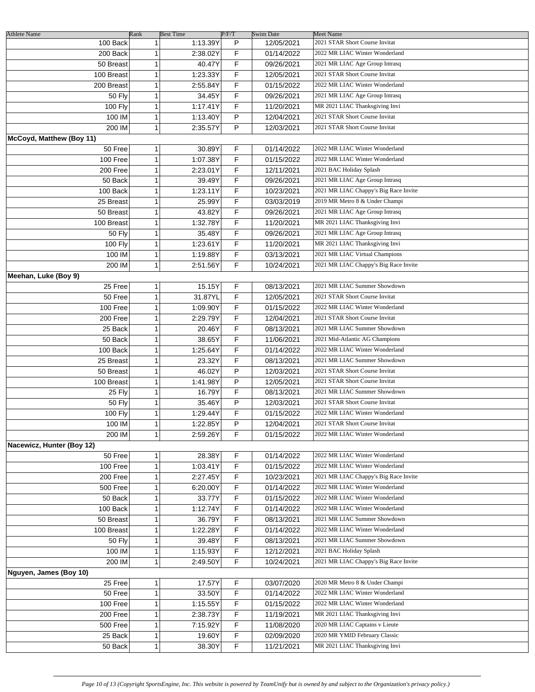| <b>Athlete Name</b>       | Rank         | <b>Best Time</b> | P/F/T | Swim Date  | Meet Name                             |
|---------------------------|--------------|------------------|-------|------------|---------------------------------------|
| 100 Back                  | 1            | 1:13.39Y         | P     | 12/05/2021 | 2021 STAR Short Course Invitat        |
| 200 Back                  | 1            | 2:38.02Y         | F     | 01/14/2022 | 2022 MR LIAC Winter Wonderland        |
| 50 Breast                 | 1            | 40.47Y           | F     | 09/26/2021 | 2021 MR LIAC Age Group Intrasq        |
| 100 Breast                | 1            | 1:23.33Y         | F     | 12/05/2021 | 2021 STAR Short Course Invitat        |
| 200 Breast                | 1            | 2:55.84Y         | F     | 01/15/2022 | 2022 MR LIAC Winter Wonderland        |
| <b>50 Fly</b>             | 1            | 34.45Y           | F     | 09/26/2021 | 2021 MR LIAC Age Group Intrasq        |
| <b>100 Fly</b>            | 1            | 1:17.41Y         | F     | 11/20/2021 | MR 2021 LIAC Thanksgiving Invi        |
| 100 IM                    | 1            | 1:13.40Y         | P     | 12/04/2021 | 2021 STAR Short Course Invitat        |
|                           | $\mathbf{1}$ | 2:35.57Y         | P     |            |                                       |
| 200 IM                    |              |                  |       | 12/03/2021 | 2021 STAR Short Course Invitat        |
| McCoyd, Matthew (Boy 11)  |              |                  |       |            |                                       |
| 50 Free                   | 1            | 30.89Y           | F     | 01/14/2022 | 2022 MR LIAC Winter Wonderland        |
| 100 Free                  | 1            | 1:07.38Y         | F     | 01/15/2022 | 2022 MR LIAC Winter Wonderland        |
| 200 Free                  | $\mathbf{1}$ | 2:23.01Y         | F     | 12/11/2021 | 2021 BAC Holiday Splash               |
| 50 Back                   | $\mathbf{1}$ | 39.49Y           | F     | 09/26/2021 | 2021 MR LIAC Age Group Intrasq        |
| 100 Back                  | $\mathbf{1}$ | 1:23.11Y         | F     | 10/23/2021 | 2021 MR LIAC Chappy's Big Race Invite |
| 25 Breast                 | 1            | 25.99Y           | F     | 03/03/2019 | 2019 MR Metro 8 & Under Champi        |
| 50 Breast                 | 1            | 43.82Y           | F     | 09/26/2021 | 2021 MR LIAC Age Group Intrasq        |
| 100 Breast                | 1            | 1:32.78Y         | F     | 11/20/2021 | MR 2021 LIAC Thanksgiving Invi        |
| <b>50 Fly</b>             | 1            | 35.48Y           | F     | 09/26/2021 | 2021 MR LIAC Age Group Intrasq        |
| <b>100 Fly</b>            | 1            | 1:23.61Y         | F     | 11/20/2021 | MR 2021 LIAC Thanksgiving Invi        |
| 100 IM                    | 1            | 1:19.88Y         | F     | 03/13/2021 | 2021 MR LIAC Virtual Champions        |
| 200 IM                    | 1            | 2:51.56Y         | F     | 10/24/2021 | 2021 MR LIAC Chappy's Big Race Invite |
| Meehan, Luke (Boy 9)      |              |                  |       |            |                                       |
| 25 Free                   | 1            | 15.15Y           | F     | 08/13/2021 | 2021 MR LIAC Summer Showdown          |
| 50 Free                   | 1            | 31.87YL          | F     | 12/05/2021 | 2021 STAR Short Course Invitat        |
| 100 Free                  | 1            | 1:09.90Y         | F     |            | 2022 MR LIAC Winter Wonderland        |
|                           |              |                  |       | 01/15/2022 | 2021 STAR Short Course Invitat        |
| $200$ Free                | 1            | 2:29.79Y         | F     | 12/04/2021 |                                       |
| 25 Back                   | 1            | 20.46Y           | F     | 08/13/2021 | 2021 MR LIAC Summer Showdown          |
| 50 Back                   | 1            | 38.65Y           | F     | 11/06/2021 | 2021 Mid-Atlantic AG Champions        |
| 100 Back                  | 1            | 1:25.64Y         | F     | 01/14/2022 | 2022 MR LIAC Winter Wonderland        |
| 25 Breast                 | 1            | 23.32Y           | F     | 08/13/2021 | 2021 MR LIAC Summer Showdown          |
| 50 Breast                 | 1            | 46.02Y           | P     | 12/03/2021 | 2021 STAR Short Course Invitat        |
| 100 Breast                | 1            | 1:41.98Y         | P     | 12/05/2021 | 2021 STAR Short Course Invitat        |
| 25 Fly                    | 1            | 16.79Y           | F     | 08/13/2021 | 2021 MR LIAC Summer Showdown          |
| 50 Fly                    | 1            | 35.46Y           | P     | 12/03/2021 | 2021 STAR Short Course Invitat        |
| 100 Fly                   | 1            | 1:29.44Y         | F     | 01/15/2022 | 2022 MR LIAC Winter Wonderland        |
| 100 IM                    | 1            | 1:22.85Y         | P     | 12/04/2021 | 2021 STAR Short Course Invitat        |
| 200 IM                    | 1            | 2:59.26Y         | F     | 01/15/2022 | 2022 MR LIAC Winter Wonderland        |
| Nacewicz, Hunter (Boy 12) |              |                  |       |            |                                       |
| 50 Free                   | 1            | 28.38Y           | F     | 01/14/2022 | 2022 MR LIAC Winter Wonderland        |
| 100 Free                  | 1            | 1:03.41Y         | F     | 01/15/2022 | 2022 MR LIAC Winter Wonderland        |
| 200 Free                  | 1            | 2:27.45Y         | F     | 10/23/2021 | 2021 MR LIAC Chappy's Big Race Invite |
| 500 Free                  | 1            | 6:20.00Y         | F     | 01/14/2022 | 2022 MR LIAC Winter Wonderland        |
| 50 Back                   | 1            | 33.77Y           | F     | 01/15/2022 | 2022 MR LIAC Winter Wonderland        |
| 100 Back                  | 1            | 1:12.74Y         | F     | 01/14/2022 | 2022 MR LIAC Winter Wonderland        |
| 50 Breast                 | 1            | 36.79Y           | F     | 08/13/2021 | 2021 MR LIAC Summer Showdown          |
| 100 Breast                | 1            | 1:22.28Y         | F     | 01/14/2022 | 2022 MR LIAC Winter Wonderland        |
|                           |              |                  |       |            | 2021 MR LIAC Summer Showdown          |
| <b>50 Fly</b>             | 1            | 39.48Y           | F     | 08/13/2021 | 2021 BAC Holiday Splash               |
| 100 IM                    | 1            | 1:15.93Y         | F     | 12/12/2021 |                                       |
| 200 IM                    | 1            | 2:49.50Y         | F     | 10/24/2021 | 2021 MR LIAC Chappy's Big Race Invite |
| Nguyen, James (Boy 10)    |              |                  |       |            |                                       |
| 25 Free                   | 1            | 17.57Y           | F     | 03/07/2020 | 2020 MR Metro 8 & Under Champi        |
| 50 Free                   | 1            | 33.50Y           | F     | 01/14/2022 | 2022 MR LIAC Winter Wonderland        |
| 100 Free                  | 1            | 1:15.55Y         | F     | 01/15/2022 | 2022 MR LIAC Winter Wonderland        |
| 200 Free                  | 1            | 2:38.73Y         | F     | 11/19/2021 | MR 2021 LIAC Thanksgiving Invi        |
| 500 Free                  | 1            | 7:15.92Y         | F     | 11/08/2020 | 2020 MR LIAC Captains v Lieute        |
| 25 Back                   | 1            | 19.60Y           | F     | 02/09/2020 | 2020 MR YMID February Classic         |
| 50 Back                   | 1            | 38.30Y           | F     | 11/21/2021 | MR 2021 LIAC Thanksgiving Invi        |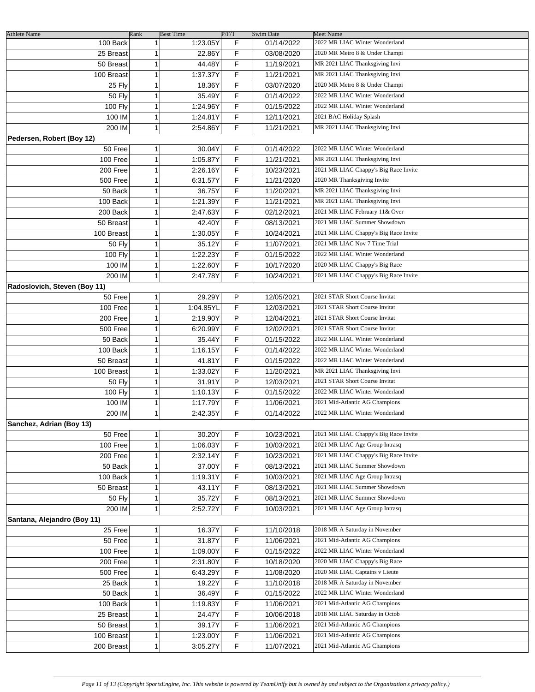|                                 | Rank         |                              |            | <b>Swim Date</b> | <b>Meet Name</b>                      |
|---------------------------------|--------------|------------------------------|------------|------------------|---------------------------------------|
| <b>Athlete Name</b><br>100 Back | 1            | <b>Best Time</b><br>1:23.05Y | P/F/T<br>F | 01/14/2022       | 2022 MR LIAC Winter Wonderland        |
|                                 |              |                              |            |                  | 2020 MR Metro 8 & Under Champi        |
| 25 Breast                       | 1            | 22.86Y                       | F          | 03/08/2020       |                                       |
| 50 Breast                       | 1            | 44.48Y                       | F          | 11/19/2021       | MR 2021 LIAC Thanksgiving Invi        |
| 100 Breast                      | 1            | 1:37.37Y                     | F          | 11/21/2021       | MR 2021 LIAC Thanksgiving Invi        |
| 25 Fly                          | 1            | 18.36Y                       | F          | 03/07/2020       | 2020 MR Metro 8 & Under Champi        |
| <b>50 Fly</b>                   | 1            | 35.49Y                       | F          | 01/14/2022       | 2022 MR LIAC Winter Wonderland        |
| <b>100 Fly</b>                  | 1            | 1:24.96Y                     | F          | 01/15/2022       | 2022 MR LIAC Winter Wonderland        |
| 100 IM                          | 1            | 1:24.81Y                     | F          | 12/11/2021       | 2021 BAC Holiday Splash               |
| 200 IM                          | 1            | 2:54.86Y                     | F          | 11/21/2021       | MR 2021 LIAC Thanksgiving Invi        |
| Pedersen, Robert (Boy 12)       |              |                              |            |                  |                                       |
| 50 Free                         | $\mathbf{1}$ | 30.04Y                       | F          | 01/14/2022       | 2022 MR LIAC Winter Wonderland        |
| 100 Free                        | 1            | 1:05.87Y                     | F          | 11/21/2021       | MR 2021 LIAC Thanksgiving Invi        |
| 200 Free                        | 1            | 2:26.16Y                     | F          | 10/23/2021       | 2021 MR LIAC Chappy's Big Race Invite |
| 500 Free                        | 1            | 6:31.57Y                     | F          | 11/21/2020       | 2020 MR Thanksgiving Invite           |
| 50 Back                         | 1            | 36.75Y                       | F          | 11/20/2021       | MR 2021 LIAC Thanksgiving Invi        |
| 100 Back                        | 1            | 1:21.39Y                     | F          |                  | MR 2021 LIAC Thanksgiving Invi        |
|                                 |              |                              |            | 11/21/2021       | 2021 MR LIAC February 11& Over        |
| 200 Back                        | 1            | 2:47.63Y                     | F          | 02/12/2021       |                                       |
| 50 Breast                       | 1            | 42.40Y                       | F          | 08/13/2021       | 2021 MR LIAC Summer Showdown          |
| 100 Breast                      | 1            | 1:30.05Y                     | F          | 10/24/2021       | 2021 MR LIAC Chappy's Big Race Invite |
| <b>50 Fly</b>                   | 1            | 35.12Y                       | F          | 11/07/2021       | 2021 MR LIAC Nov 7 Time Trial         |
| 100 Fly                         | 1            | 1:22.23Y                     | F          | 01/15/2022       | 2022 MR LIAC Winter Wonderland        |
| 100 IM                          | 1            | 1:22.60Y                     | F          | 10/17/2020       | 2020 MR LIAC Chappy's Big Race        |
| 200 IM                          | 1            | 2:47.78Y                     | F          | 10/24/2021       | 2021 MR LIAC Chappy's Big Race Invite |
| Radoslovich, Steven (Boy 11)    |              |                              |            |                  |                                       |
| 50 Free                         | 1            | 29.29Y                       | P          | 12/05/2021       | 2021 STAR Short Course Invitat        |
| 100 Free                        | 1            | 1:04.85YL                    | F          | 12/03/2021       | 2021 STAR Short Course Invitat        |
| 200 Free                        | 1            | 2:19.90Y                     | P          | 12/04/2021       | 2021 STAR Short Course Invitat        |
| <b>500 Free</b>                 | 1            | 6:20.99Y                     | F          | 12/02/2021       | 2021 STAR Short Course Invitat        |
| 50 Back                         | 1            | 35.44Y                       | F          | 01/15/2022       | 2022 MR LIAC Winter Wonderland        |
| 100 Back                        | 1            | 1:16.15Y                     | F          |                  | 2022 MR LIAC Winter Wonderland        |
|                                 |              |                              |            | 01/14/2022       |                                       |
| 50 Breast                       | 1            | 41.81Y                       | F          | 01/15/2022       | 2022 MR LIAC Winter Wonderland        |
| 100 Breast                      | 1            | 1:33.02Y                     | F          | 11/20/2021       | MR 2021 LIAC Thanksgiving Invi        |
| 50 Fly                          | 1            | 31.91Y                       | P          | 12/03/2021       | 2021 STAR Short Course Invitat        |
| 100 Fly                         | 1            | 1:10.13Y                     | F          | 01/15/2022       | 2022 MR LIAC Winter Wonderland        |
| 100 IM                          | 1            | 1:17.79Y                     | F          | 11/06/2021       | 2021 Mid-Atlantic AG Champions        |
| 200 IM                          | $\mathbf{1}$ | 2:42.35Y                     | F          | 01/14/2022       | 2022 MR LIAC Winter Wonderland        |
| Sanchez, Adrian (Boy 13)        |              |                              |            |                  |                                       |
| 50 Free                         | 1            | 30.20Y                       | F          | 10/23/2021       | 2021 MR LIAC Chappy's Big Race Invite |
| 100 Free                        | 1            | 1:06.03Y                     | F          | 10/03/2021       | 2021 MR LIAC Age Group Intrasq        |
| 200 Free                        | 1            | 2:32.14Y                     | F          | 10/23/2021       | 2021 MR LIAC Chappy's Big Race Invite |
| 50 Back                         | 1            | 37.00Y                       | F          | 08/13/2021       | 2021 MR LIAC Summer Showdown          |
| 100 Back                        | 1            | 1:19.31Y                     | F          | 10/03/2021       | 2021 MR LIAC Age Group Intrasq        |
| 50 Breast                       | 1            | 43.11Y                       | F          | 08/13/2021       | 2021 MR LIAC Summer Showdown          |
| <b>50 Fly</b>                   | 1            | 35.72Y                       | F          | 08/13/2021       | 2021 MR LIAC Summer Showdown          |
|                                 |              |                              |            |                  |                                       |
| 200 IM                          | 1            | 2:52.72Y                     | F          | 10/03/2021       | 2021 MR LIAC Age Group Intrasq        |
| Santana, Alejandro (Boy 11)     |              |                              |            |                  |                                       |
| 25 Free                         | 1            | 16.37Y                       | F          | 11/10/2018       | 2018 MR A Saturday in November        |
| 50 Free                         | 1            | 31.87Y                       | F          | 11/06/2021       | 2021 Mid-Atlantic AG Champions        |
| 100 Free                        | 1            | 1:09.00Y                     | F          | 01/15/2022       | 2022 MR LIAC Winter Wonderland        |
| 200 Free                        | 1            | 2:31.80Y                     | F          | 10/18/2020       | 2020 MR LIAC Chappy's Big Race        |
| 500 Free                        | 1            | 6:43.29Y                     | F          | 11/08/2020       | 2020 MR LIAC Captains v Lieute        |
| 25 Back                         | 1            | 19.22Y                       | F          | 11/10/2018       | 2018 MR A Saturday in November        |
| 50 Back                         | 1            | 36.49Y                       | F          | 01/15/2022       | 2022 MR LIAC Winter Wonderland        |
| 100 Back                        | 1            | 1:19.83Y                     | F          | 11/06/2021       | 2021 Mid-Atlantic AG Champions        |
| 25 Breast                       | 1            | 24.47Y                       | F          | 10/06/2018       | 2018 MR LIAC Saturday in Octob        |
|                                 | 1            |                              | F          |                  | 2021 Mid-Atlantic AG Champions        |
| 50 Breast                       |              | 39.17Y                       |            | 11/06/2021       |                                       |
| 100 Breast                      | 1            | 1:23.00Y                     | F          | 11/06/2021       | 2021 Mid-Atlantic AG Champions        |
| 200 Breast                      | 1            | 3:05.27Y                     | F          | 11/07/2021       | 2021 Mid-Atlantic AG Champions        |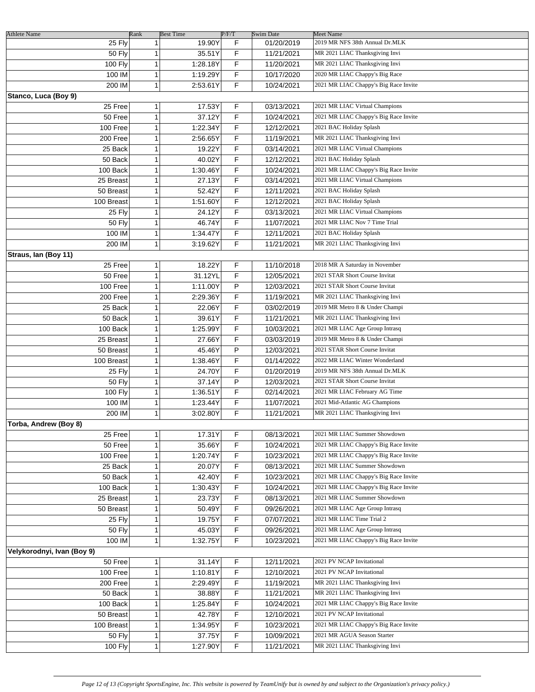| <b>Athlete Name</b>        | Rank         | <b>Best Time</b> | P/F/T | <b>Swim Date</b> | <b>Meet Name</b>                                                |
|----------------------------|--------------|------------------|-------|------------------|-----------------------------------------------------------------|
| 25 Fly                     | $\mathbf{1}$ | 19.90Y           | F     | 01/20/2019       | 2019 MR NFS 38th Annual Dr.MLK                                  |
| <b>50 Fly</b>              | 1            | 35.51Y           | F     | 11/21/2021       | MR 2021 LIAC Thanksgiving Invi                                  |
| 100 Fly                    | 1            | 1:28.18Y         | F     | 11/20/2021       | MR 2021 LIAC Thanksgiving Invi                                  |
| 100 IM                     | 1            | 1:19.29Y         | F     | 10/17/2020       | 2020 MR LIAC Chappy's Big Race                                  |
| 200 IM                     | $\mathbf{1}$ | 2:53.61Y         | F     | 10/24/2021       | 2021 MR LIAC Chappy's Big Race Invite                           |
| Stanco, Luca (Boy 9)       |              |                  |       |                  |                                                                 |
| 25 Free                    | 1            | 17.53Y           | F     | 03/13/2021       | 2021 MR LIAC Virtual Champions                                  |
| 50 Free                    | 1            | 37.12Y           | F     | 10/24/2021       | 2021 MR LIAC Chappy's Big Race Invite                           |
| 100 Free                   | 1            | 1:22.34Y         | F     | 12/12/2021       | 2021 BAC Holiday Splash                                         |
| 200 Free                   | 1            | 2:56.65Y         | F     | 11/19/2021       | MR 2021 LIAC Thanksgiving Invi                                  |
| 25 Back                    | 1            | 19.22Y           | F     | 03/14/2021       | 2021 MR LIAC Virtual Champions                                  |
| 50 Back                    | 1            | 40.02Y           | F     | 12/12/2021       | 2021 BAC Holiday Splash                                         |
| 100 Back                   | 1            | 1:30.46Y         | F     | 10/24/2021       | 2021 MR LIAC Chappy's Big Race Invite                           |
| 25 Breast                  | 1            | 27.13Y           | F     | 03/14/2021       | 2021 MR LIAC Virtual Champions                                  |
|                            | 1            | 52.42Y           | F     |                  | 2021 BAC Holiday Splash                                         |
| 50 Breast                  |              |                  |       | 12/11/2021       | 2021 BAC Holiday Splash                                         |
| 100 Breast                 | 1            | 1:51.60Y         | F     | 12/12/2021       |                                                                 |
| 25 Fly                     | 1            | 24.12Y           | F     | 03/13/2021       | 2021 MR LIAC Virtual Champions<br>2021 MR LIAC Nov 7 Time Trial |
| <b>50 Fly</b>              | 1            | 46.74Y           | F     | 11/07/2021       |                                                                 |
| 100 IM                     | 1            | 1:34.47Y         | F     | 12/11/2021       | 2021 BAC Holiday Splash                                         |
| 200 IM                     | 1            | 3:19.62Y         | F     | 11/21/2021       | MR 2021 LIAC Thanksgiving Invi                                  |
| Straus, Ian (Boy 11)       |              |                  |       |                  |                                                                 |
| 25 Free                    | 1            | 18.22Y           | F     | 11/10/2018       | 2018 MR A Saturday in November                                  |
| 50 Free                    | 1            | 31.12YL          | F     | 12/05/2021       | 2021 STAR Short Course Invitat                                  |
| 100 Free                   | 1            | 1:11.00Y         | P     | 12/03/2021       | 2021 STAR Short Course Invitat                                  |
| 200 Free                   | 1            | 2:29.36Y         | F     | 11/19/2021       | MR 2021 LIAC Thanksgiving Invi                                  |
| 25 Back                    | 1            | 22.06Y           | F     | 03/02/2019       | 2019 MR Metro 8 & Under Champi                                  |
| 50 Back                    | 1            | 39.61Y           | F     | 11/21/2021       | MR 2021 LIAC Thanksgiving Invi                                  |
| 100 Back                   | 1            | 1:25.99Y         | F     | 10/03/2021       | 2021 MR LIAC Age Group Intrasq                                  |
| 25 Breast                  | 1            | 27.66Y           | F     | 03/03/2019       | 2019 MR Metro 8 & Under Champi                                  |
| 50 Breast                  | 1            | 45.46Y           | P     | 12/03/2021       | 2021 STAR Short Course Invitat                                  |
| 100 Breast                 | 1            | 1:38.46Y         | F     | 01/14/2022       | 2022 MR LIAC Winter Wonderland                                  |
| 25 Fly                     | 1            | 24.70Y           | F     | 01/20/2019       | 2019 MR NFS 38th Annual Dr.MLK                                  |
| 50 Fly                     | 1            | 37.14Y           | P     | 12/03/2021       | 2021 STAR Short Course Invitat                                  |
| 100 Fly                    | 1            | 1:36.51Y         | F     | 02/14/2021       | 2021 MR LIAC February AG Time                                   |
| 100 IM                     | 1            | 1:23.44Y         | F     | 11/07/2021       | 2021 Mid-Atlantic AG Champions                                  |
| 200 IM                     | 1            | 3:02.80Y         | F     | 11/21/2021       | MR 2021 LIAC Thanksgiving Invi                                  |
| Torba, Andrew (Boy 8)      |              |                  |       |                  |                                                                 |
| 25 Free                    | 1            | 17.31Y           | F     | 08/13/2021       | 2021 MR LIAC Summer Showdown                                    |
| 50 Free                    | 1            | 35.66Y           | F     | 10/24/2021       | 2021 MR LIAC Chappy's Big Race Invite                           |
| 100 Free                   | 1            | 1:20.74Y         | F     | 10/23/2021       | 2021 MR LIAC Chappy's Big Race Invite                           |
| 25 Back                    | 1            | 20.07Y           | F     | 08/13/2021       | 2021 MR LIAC Summer Showdown                                    |
| 50 Back                    | 1            | 42.40Y           | F     | 10/23/2021       | 2021 MR LIAC Chappy's Big Race Invite                           |
| 100 Back                   | 1            | 1:30.43Y         | F     | 10/24/2021       | 2021 MR LIAC Chappy's Big Race Invite                           |
| 25 Breast                  | 1            | 23.73Y           | F     | 08/13/2021       | 2021 MR LIAC Summer Showdown                                    |
| 50 Breast                  | 1            | 50.49Y           | F     | 09/26/2021       | 2021 MR LIAC Age Group Intrasq                                  |
| 25 Fly                     | 1            | 19.75Y           | F     | 07/07/2021       | 2021 MR LIAC Time Trial 2                                       |
| <b>50 Fly</b>              | 1            | 45.03Y           | F     | 09/26/2021       | 2021 MR LIAC Age Group Intrasq                                  |
| 100 IM                     | 1            | 1:32.75Y         | F     | 10/23/2021       | 2021 MR LIAC Chappy's Big Race Invite                           |
| Velykorodnyi, Ivan (Boy 9) |              |                  |       |                  |                                                                 |
| 50 Free                    | 1            | 31.14Y           | F     | 12/11/2021       | 2021 PV NCAP Invitational                                       |
| 100 Free                   | 1            | 1:10.81Y         | F     | 12/10/2021       | 2021 PV NCAP Invitational                                       |
| 200 Free                   | 1            | 2:29.49Y         | F     | 11/19/2021       | MR 2021 LIAC Thanksgiving Invi                                  |
| 50 Back                    | 1            | 38.88Y           | F     | 11/21/2021       | MR 2021 LIAC Thanksgiving Invi                                  |
| 100 Back                   | 1            | 1:25.84Y         | F     | 10/24/2021       | 2021 MR LIAC Chappy's Big Race Invite                           |
| 50 Breast                  | 1            | 42.78Y           | F     | 12/10/2021       | 2021 PV NCAP Invitational                                       |
| 100 Breast                 | 1            | 1:34.95Y         | F     | 10/23/2021       | 2021 MR LIAC Chappy's Big Race Invite                           |
| <b>50 Fly</b>              | 1            | 37.75Y           | F     | 10/09/2021       | 2021 MR AGUA Season Starter                                     |
| 100 Fly                    | 1            | 1:27.90Y         | F     | 11/21/2021       | MR 2021 LIAC Thanksgiving Invi                                  |
|                            |              |                  |       |                  |                                                                 |